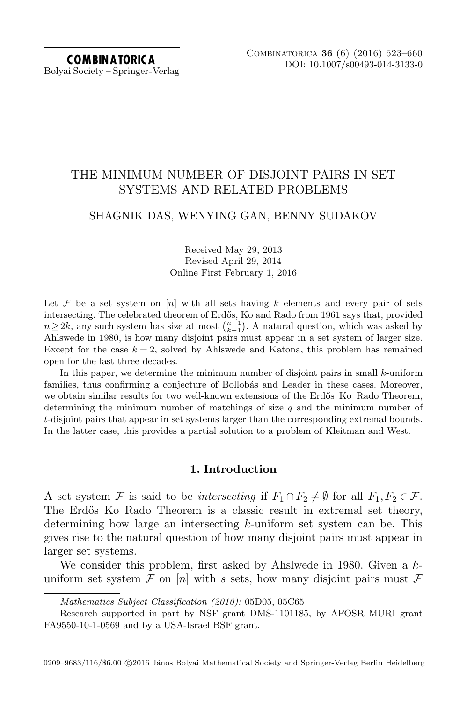# THE MINIMUM NUMBER OF DISJOINT PAIRS IN SET SYSTEMS AND RELATED PROBLEMS

## SHAGNIK DAS, WENYING GAN, BENNY SUDAKOV

## Received May 29, 2013 Revised April 29, 2014 Online First February 1, 2016

Let F be a set system on [n] with all sets having k elements and every pair of sets intersecting. The celebrated theorem of Erdős, Ko and Rado from 1961 says that, provided  $n \geq 2k$ , any such system has size at most  $\binom{n-1}{k-1}$ . A natural question, which was asked by Ahlswede in 1980, is how many disjoint pairs must appear in a set system of larger size. Except for the case  $k = 2$ , solved by Ahlswede and Katona, this problem has remained open for the last three decades.

In this paper, we determine the minimum number of disjoint pairs in small  $k$ -uniform families, thus confirming a conjecture of Bollobás and Leader in these cases. Moreover, we obtain similar results for two well-known extensions of the Erdős–Ko–Rado Theorem, determining the minimum number of matchings of size  $q$  and the minimum number of t-disjoint pairs that appear in set systems larger than the corresponding extremal bounds. In the latter case, this provides a partial solution to a problem of Kleitman and West.

## 1. Introduction

<span id="page-0-0"></span>A set system F is said to be intersecting if  $F_1 \cap F_2 \neq \emptyset$  for all  $F_1, F_2 \in \mathcal{F}$ . The Erdős–Ko–Rado Theorem is a classic result in extremal set theory, determining how large an intersecting k-uniform set system can be. This gives rise to the natural question of how many disjoint pairs must appear in larger set systems.

We consider this problem, first asked by Ahslwede in 1980. Given a kuniform set system F on [n] with s sets, how many disjoint pairs must F

Mathematics Subject Classification (2010): 05D05, 05C65

Research supported in part by NSF grant DMS-1101185, by AFOSR MURI grant FA9550-10-1-0569 and by a USA-Israel BSF grant.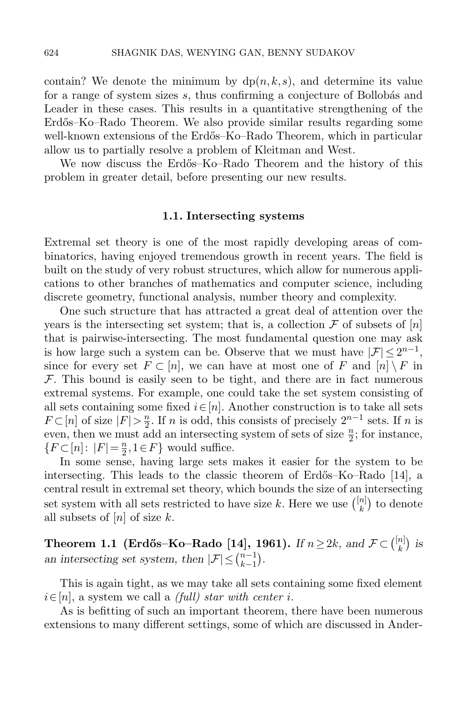contain? We denote the minimum by  $dp(n, k, s)$ , and determine its value for a range of system sizes  $s$ , thus confirming a conjecture of Bollobás and Leader in these cases. This results in a quantitative strengthening of the Erdős–Ko–Rado Theorem. We also provide similar results regarding some well-known extensions of the Erdős–Ko–Rado Theorem, which in particular allow us to partially resolve a problem of Kleitman and West.

We now discuss the Erdős–Ko–Rado Theorem and the history of this problem in greater detail, before presenting our new results.

#### 1.1. Intersecting systems

Extremal set theory is one of the most rapidly developing areas of combinatorics, having enjoyed tremendous growth in recent years. The field is built on the study of very robust structures, which allow for numerous applications to other branches of mathematics and computer science, including discrete geometry, functional analysis, number theory and complexity.

One such structure that has attracted a great deal of attention over the years is the intersecting set system; that is, a collection  $\mathcal F$  of subsets of  $[n]$ that is pairwise-intersecting. The most fundamental question one may ask is how large such a system can be. Observe that we must have  $|\mathcal{F}| \leq 2^{n-1}$ , since for every set  $F \subset [n]$ , we can have at most one of F and  $[n] \setminus F$  in  $F$ . This bound is easily seen to be tight, and there are in fact numerous extremal systems. For example, one could take the set system consisting of all sets containing some fixed  $i \in [n]$ . Another construction is to take all sets  $F \subset [n]$  of size  $|F| > \frac{n}{2}$  $\frac{n}{2}$ . If *n* is odd, this consists of precisely  $2^{n-1}$  sets. If *n* is even, then we must add an intersecting system of sets of size  $\frac{n}{2}$ ; for instance,  ${F \subset [n]: |F| = \frac{n}{2}}$  $\frac{n}{2}, 1 \in F$  would suffice.

In some sense, having large sets makes it easier for the system to be intersecting. This leads to the classic theorem of Erdős–Ko–Rado [\[14\]](#page-37-0), a central result in extremal set theory, which bounds the size of an intersecting set system with all sets restricted to have size k. Here we use  $\binom{[n]}{k}$  $\binom{n}{k}$  to denote all subsets of  $[n]$  of size k.

Theorem 1.1 (Erdős–Ko–Rado [\[14\]](#page-37-0), 1961). If  $n \geq 2k$ , and  $\mathcal{F} \subset \binom{[n]}{k}$  $\binom{n}{k}$  is an intersecting set system, then  $|\mathcal{F}| \leq {n-1 \choose k-1}$  $_{k-1}^{n-1}$ ).

This is again tight, as we may take all sets containing some fixed element  $i \in [n]$ , a system we call a *(full)* star with center i.

As is befitting of such an important theorem, there have been numerous extensions to many different settings, some of which are discussed in Ander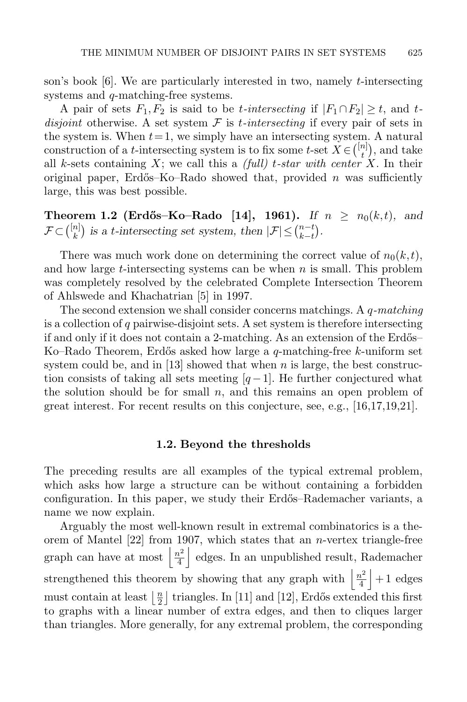son's book  $|6|$ . We are particularly interested in two, namely *t*-intersecting systems and *q*-matching-free systems.

A pair of sets  $F_1, F_2$  is said to be *t*-intersecting if  $|F_1 \cap F_2| \ge t$ , and *t*disjoint otherwise. A set system  $\mathcal F$  is *t*-intersecting if every pair of sets in the system is. When  $t = 1$ , we simply have an intersecting system. A natural construction of a *t*-intersecting system is to fix some *t*-set  $X \in \binom{[n]}{t}$  $\binom{n}{t}$ , and take all k-sets containing X; we call this a *(full) t-star with center X*. In their original paper, Erdős–Ko–Rado showed that, provided n was sufficiently large, this was best possible.

**Theorem 1.2 (Erdős–Ko–Rado** [\[14\]](#page-37-0), 1961). If  $n \ge n_0(k,t)$ , and  $\mathcal{F} \!\subset\! \binom{[n]}{k}$  $\binom{n}{k}$  is a t-intersecting set system, then  $|\mathcal{F}| \leq \binom{n-t}{k-t}$  $_{k-t}^{n-t}$ ).

There was much work done on determining the correct value of  $n_0(k, t)$ , and how large t-intersecting systems can be when  $n$  is small. This problem was completely resolved by the celebrated Complete Intersection Theorem of Ahlswede and Khachatrian [\[5\]](#page-36-1) in 1997.

The second extension we shall consider concerns matchings. A  $q$ -matching is a collection of  $q$  pairwise-disjoint sets. A set system is therefore intersecting if and only if it does not contain a 2-matching. As an extension of the Erdős– Ko–Rado Theorem, Erdős asked how large a  $q$ -matching-free k-uniform set system could be, and in [\[13\]](#page-37-1) showed that when n is large, the best construction consists of taking all sets meeting  $[q-1]$ . He further conjectured what the solution should be for small  $n$ , and this remains an open problem of great interest. For recent results on this conjecture, see, e.g., [\[16,](#page-37-2)[17,](#page-37-3)[19,](#page-37-4)[21\]](#page-37-5).

### 1.2. Beyond the thresholds

The preceding results are all examples of the typical extremal problem, which asks how large a structure can be without containing a forbidden configuration. In this paper, we study their Erdős–Rademacher variants, a name we now explain.

Arguably the most well-known result in extremal combinatorics is a theorem of Mantel  $[22]$  from 1907, which states that an *n*-vertex triangle-free graph can have at most  $\frac{n^2}{4}$  $\frac{h^2}{4}$  edges. In an unpublished result, Rademacher strengthened this theorem by showing that any graph with  $\frac{n^2}{4}$  $\frac{n^2}{4}$  + 1 edges must contain at least  $\frac{n}{2}$  $\frac{n}{2}$  | triangles. In [\[11\]](#page-37-7) and [\[12\]](#page-37-8), Erdős extended this first to graphs with a linear number of extra edges, and then to cliques larger than triangles. More generally, for any extremal problem, the corresponding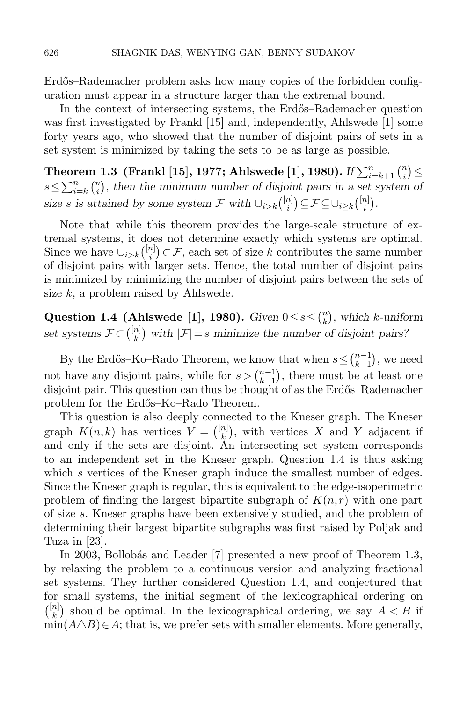Erdős–Rademacher problem asks how many copies of the forbidden configuration must appear in a structure larger than the extremal bound.

In the context of intersecting systems, the Erdős–Rademacher question was first investigated by Frankl [\[15\]](#page-37-9) and, independently, Ahlswede [\[1\]](#page-36-2) some forty years ago, who showed that the number of disjoint pairs of sets in a set system is minimized by taking the sets to be as large as possible.

<span id="page-3-1"></span>Theorem 1.3 (Frankl [\[15\]](#page-37-9), 1977; Ahlswede [\[1\]](#page-36-2), 1980).  $\textit{If}\sum_{i=k+1}^{n}\binom{n}{i}$  $\binom{n}{i}$  $s \leq \sum_{i=k}^{n} {n \choose i}$  $\binom{n}{i}$ , then the minimum number of disjoint pairs in a set system of size s is attained by some system  $\mathcal F$  with  $\cup_{i>k} \binom{[n]}{i}$  $\binom{n}{i}$  $\subseteq$   $\mathcal{F}$  $\subseteq$   $\cup_{i \geq k}$  $\binom{[n]}{i}$  $\binom{n}{i}$ .

Note that while this theorem provides the large-scale structure of extremal systems, it does not determine exactly which systems are optimal. Since we have  $\cup_{i>k} \binom{[n]}{i}$  $\binom{n}{i} \subset \mathcal{F}$ , each set of size k contributes the same number of disjoint pairs with larger sets. Hence, the total number of disjoint pairs is minimized by minimizing the number of disjoint pairs between the sets of size  $k$ , a problem raised by Ahlswede.

<span id="page-3-0"></span>Question 1.4 (Ahlswede [\[1\]](#page-36-2), 1980). Given  $0 \le s \le {n \choose k}$  $\binom{n}{k}$ , which k-uniform set systems  $\mathcal{F} \subset \binom{[n]}{k}$  ${k \choose k}$  with  $|\mathcal{F}|=s$  minimize the number of disjoint pairs?

By the Erdős–Ko–Rado Theorem, we know that when  $s \leq {n-1 \choose k-1}$  $\binom{n-1}{k-1}$ , we need not have any disjoint pairs, while for  $s > \binom{n-1}{k-1}$  $_{k-1}^{n-1}$ , there must be at least one disjoint pair. This question can thus be thought of as the Erd˝os–Rademacher problem for the Erd˝os–Ko–Rado Theorem.

This question is also deeply connected to the Kneser graph. The Kneser graph  $K(n, k)$  has vertices  $V = \binom{[n]}{k}$  $\binom{n}{k}$ , with vertices X and Y adjacent if and only if the sets are disjoint. An intersecting set system corresponds to an independent set in the Kneser graph. Question [1.4](#page-3-0) is thus asking which s vertices of the Kneser graph induce the smallest number of edges. Since the Kneser graph is regular, this is equivalent to the edge-isoperimetric problem of finding the largest bipartite subgraph of  $K(n,r)$  with one part of size s. Kneser graphs have been extensively studied, and the problem of determining their largest bipartite subgraphs was first raised by Poljak and Tuza in [\[23\]](#page-37-10).

In 2003, Bollobás and Leader [\[7\]](#page-36-3) presented a new proof of Theorem [1.3,](#page-3-1) by relaxing the problem to a continuous version and analyzing fractional set systems. They further considered Question [1.4,](#page-3-0) and conjectured that for small systems, the initial segment of the lexicographical ordering on  $\binom{[n]}{k}$  ${k \choose k}$  should be optimal. In the lexicographical ordering, we say  $A < B$  if  $\min(A \triangle B) \in A$ ; that is, we prefer sets with smaller elements. More generally,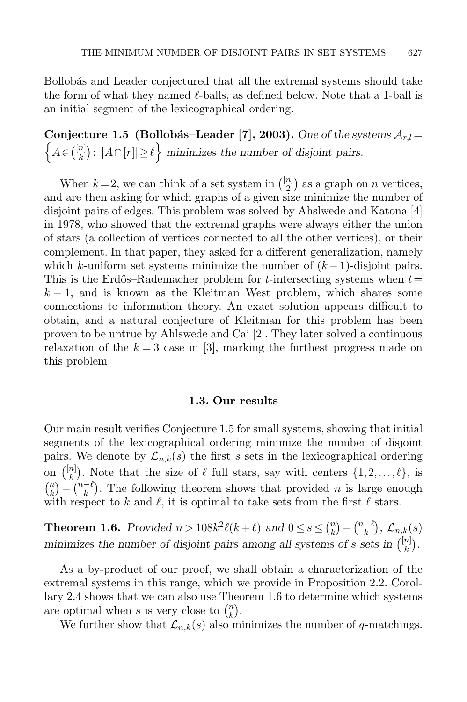Bollobás and Leader conjectured that all the extremal systems should take the form of what they named  $\ell$ -balls, as defined below. Note that a 1-ball is an initial segment of the lexicographical ordering.

<span id="page-4-0"></span>Conjecture 1.5 (Bollobás–Leader [\[7\]](#page-36-3), 2003). One of the systems  $\mathcal{A}_{r,l}$  =  $\left\{A \in \binom{[n]}{k}\right\}$  ${k \choose k}$ :  $|A \cap [r]| \ge \ell$  minimizes the number of disjoint pairs.

When  $k=2$ , we can think of a set system in  $\binom{\lfloor n\rfloor}{2}$  $\binom{n}{2}$  as a graph on *n* vertices, and are then asking for which graphs of a given size minimize the number of disjoint pairs of edges. This problem was solved by Ahslwede and Katona [\[4\]](#page-36-4) in 1978, who showed that the extremal graphs were always either the union of stars (a collection of vertices connected to all the other vertices), or their complement. In that paper, they asked for a different generalization, namely which k-uniform set systems minimize the number of  $(k-1)$ -disjoint pairs. This is the Erdős–Rademacher problem for t-intersecting systems when  $t=$  $k-1$ , and is known as the Kleitman–West problem, which shares some connections to information theory. An exact solution appears difficult to obtain, and a natural conjecture of Kleitman for this problem has been proven to be untrue by Ahlswede and Cai [\[2\]](#page-36-5). They later solved a continuous relaxation of the  $k = 3$  case in [\[3\]](#page-36-6), marking the furthest progress made on this problem.

#### 1.3. Our results

Our main result verifies Conjecture [1.5](#page-4-0) for small systems, showing that initial segments of the lexicographical ordering minimize the number of disjoint pairs. We denote by  $\mathcal{L}_{n,k}(s)$  the first s sets in the lexicographical ordering on  $\binom{[n]}{k}$  $\binom{n}{k}$ . Note that the size of  $\ell$  full stars, say with centers  $\{1, 2, \ldots, \ell\}$ , is  $\binom{n}{k}$  $\binom{n}{k} - \binom{n-\ell}{k}$  $\binom{-\ell}{k}$ . The following theorem shows that provided *n* is large enough with respect to k and  $\ell$ , it is optimal to take sets from the first  $\ell$  stars.

<span id="page-4-1"></span>**Theorem 1.6.** Provided  $n > 108k^2\ell(k+\ell)$  and  $0 \le s \le \binom{n}{k}$  $\binom{n}{k} - \binom{n-\ell}{k}$  $\binom{-\ell}{k},\ \mathcal{L}_{n,k}(s)$ minimizes the number of disjoint pairs among all systems of s sets in  $\binom{[n]}{k}$  $\binom{n}{k}$ .

As a by-product of our proof, we shall obtain a characterization of the extremal systems in this range, which we provide in Proposition [2.2.](#page-11-0) Corollary [2.4](#page-12-0) shows that we can also use Theorem [1.6](#page-4-1) to determine which systems are optimal when s is very close to  $\binom{n}{k}$  $\binom{n}{k}$ .

<span id="page-4-2"></span>We further show that  $\mathcal{L}_{n,k}(s)$  also minimizes the number of q-matchings.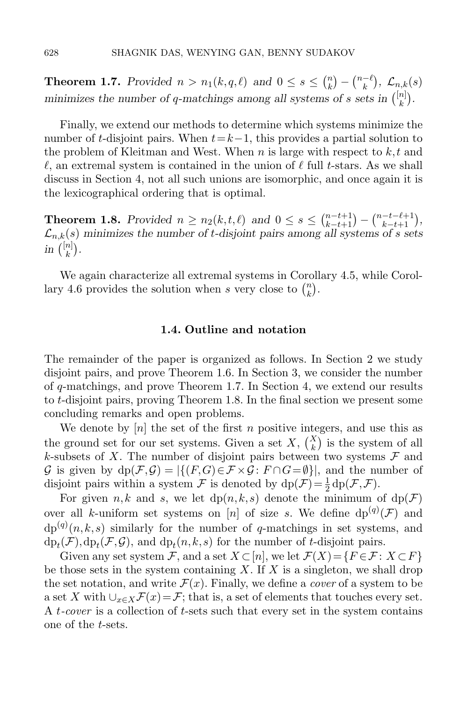**Theorem 1.7.** Provided  $n > n_1(k, q, \ell)$  and  $0 \leq s \leq {n \choose k}$  $\binom{n}{k} - \binom{n-\ell}{k}$  $\binom{-\ell}{k}, \mathcal{L}_{n,k}(s)$ minimizes the number of q-matchings among all systems of s sets in  $\binom{[n]}{k}$  $\binom{n}{k}$ .

Finally, we extend our methods to determine which systems minimize the number of t-disjoint pairs. When  $t=k-1$ , this provides a partial solution to the problem of Kleitman and West. When n is large with respect to  $k, t$  and  $\ell$ , an extremal system is contained in the union of  $\ell$  full t-stars. As we shall discuss in Section [4,](#page-19-0) not all such unions are isomorphic, and once again it is the lexicographical ordering that is optimal.

<span id="page-5-0"></span>**Theorem 1.8.** Provided  $n \ge n_2(k, t, \ell)$  and  $0 \le s \le \binom{n-t+1}{k-t+1} - \binom{n-t-\ell+1}{k-t+1}$ ,  $\mathcal{L}_{n,k}(s)$  minimizes the number of t-disjoint pairs among all systems of s sets in  $\binom{[n]}{k}$  $\binom{n}{k}$ .

We again characterize all extremal systems in Corollary [4.5,](#page-23-0) while Corol-lary [4.6](#page-24-0) provides the solution when s very close to  $\binom{n}{k}$  $\binom{n}{k}$ .

#### 1.4. Outline and notation

The remainder of the paper is organized as follows. In Section [2](#page-6-0) we study disjoint pairs, and prove Theorem [1.6.](#page-4-1) In Section [3,](#page-12-1) we consider the number of q-matchings, and prove Theorem [1.7.](#page-4-2) In Section [4,](#page-19-0) we extend our results to t-disjoint pairs, proving Theorem [1.8.](#page-5-0) In the final section we present some concluding remarks and open problems.

We denote by  $[n]$  the set of the first n positive integers, and use this as the ground set for our set systems. Given a set X,  $\binom{X}{k}$  is the system of all k-subsets of X. The number of disjoint pairs between two systems  $\mathcal F$  and G is given by  $dp(\mathcal{F}, \mathcal{G}) = |\{(F, G) \in \mathcal{F} \times \mathcal{G} : F \cap G = \emptyset\}|$ , and the number of disjoint pairs within a system  $\mathcal F$  is denoted by  $dp(\mathcal F) = \frac{1}{2} dp(\mathcal F, \mathcal F)$ .

For given n,k and s, we let  $dp(n, k, s)$  denote the minimum of  $dp(\mathcal{F})$ over all k-uniform set systems on [n] of size s. We define  $dp^{(q)}(\mathcal{F})$  and  $dp^{(q)}(n, k, s)$  similarly for the number of q-matchings in set systems, and  $dp_t(\mathcal{F}), dp_t(\mathcal{F}, \mathcal{G})$ , and  $dp_t(n, k, s)$  for the number of t-disjoint pairs.

Given any set system F, and a set  $X \subseteq [n]$ , we let  $\mathcal{F}(X) = \{F \in \mathcal{F} : X \subseteq F\}$ be those sets in the system containing X. If X is a singleton, we shall drop the set notation, and write  $\mathcal{F}(x)$ . Finally, we define a *cover* of a system to be a set X with  $\bigcup_{x\in X} \mathcal{F}(x) = \mathcal{F}$ ; that is, a set of elements that touches every set. A t-cover is a collection of t-sets such that every set in the system contains one of the t-sets.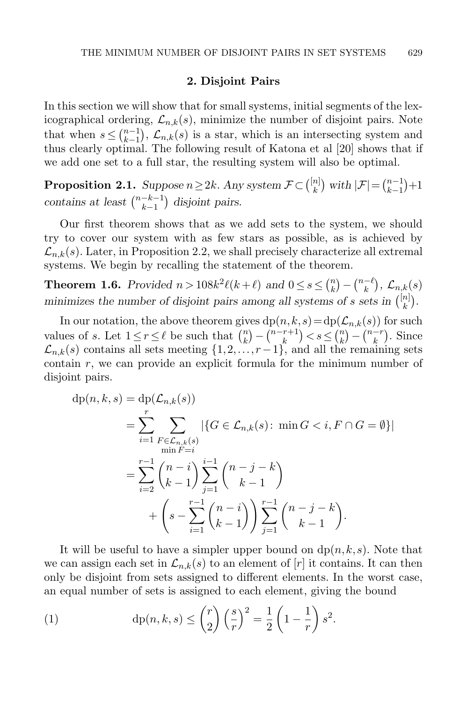#### 2. Disjoint Pairs

<span id="page-6-0"></span>In this section we will show that for small systems, initial segments of the lexicographical ordering,  $\mathcal{L}_{n,k}(s)$ , minimize the number of disjoint pairs. Note that when  $s \leq {n-1 \choose k-1}$  $\mathcal{L}_{n,k}(s)$  is a star, which is an intersecting system and thus clearly optimal. The following result of Katona et al [\[20\]](#page-37-11) shows that if we add one set to a full star, the resulting system will also be optimal.

**Proposition 2.1.** Suppose  $n \geq 2k$ . Any system  $\mathcal{F} \subset \binom{[n]}{k}$  $\binom{n}{k}$  with  $|\mathcal{F}| = \binom{n-1}{k-1}$  $\binom{n-1}{k-1}+1$ contains at least  $\binom{n-k-1}{k-1}$  $\binom{-k-1}{k-1}$  disjoint pairs.

Our first theorem shows that as we add sets to the system, we should try to cover our system with as few stars as possible, as is achieved by  $\mathcal{L}_{n,k}(s)$ . Later, in Proposition [2.2,](#page-11-0) we shall precisely characterize all extremal systems. We begin by recalling the statement of the theorem.

**Theorem 1.6.** Provided  $n > 108k^2\ell(k+\ell)$  and  $0 \le s \le \binom{n}{k}$  $\binom{n}{k} - \binom{n-\ell}{k}$  $\binom{-\ell}{k},\ \mathcal{L}_{n,k}(s)$ minimizes the number of disjoint pairs among all systems of s sets in  $\binom{[n]}{k}$  $\binom{n}{k}$ .

In our notation, the above theorem gives  $dp(n, k, s) = dp(\mathcal{L}_{n,k}(s))$  for such values of s. Let  $1 \leq r \leq \ell$  be such that  $\binom{n}{k}$  $\binom{n}{k} - \binom{n-r+1}{k}$  ${k+1 \choose k}$  <  $s \leq {n \choose k}$  $\binom{n}{k} - \binom{n-r}{k}$  $\binom{-r}{k}$ . Since  $\mathcal{L}_{n,k}(s)$  contains all sets meeting  $\{1,2,\ldots,r-1\}$ , and all the remaining sets contain  $r$ , we can provide an explicit formula for the minimum number of disjoint pairs.

$$
dp(n, k, s) = dp(\mathcal{L}_{n,k}(s))
$$
  
= 
$$
\sum_{i=1}^{r} \sum_{\substack{F \in \mathcal{L}_{n,k}(s) \\ \text{min } F=i}} |\{G \in \mathcal{L}_{n,k}(s) : \text{ min } G < i, F \cap G = \emptyset\}|
$$
  
= 
$$
\sum_{i=2}^{r-1} {n-i \choose k-1} \sum_{j=1}^{i-1} {n-j-k \choose k-1}
$$
  
+ 
$$
\left(s - \sum_{i=1}^{r-1} {n-i \choose k-1} \right) \sum_{j=1}^{r-1} {n-j-k \choose k-1}.
$$

It will be useful to have a simpler upper bound on  $dp(n, k, s)$ . Note that we can assign each set in  $\mathcal{L}_{n,k}(s)$  to an element of  $[r]$  it contains. It can then only be disjoint from sets assigned to different elements. In the worst case, an equal number of sets is assigned to each element, giving the bound

(1) 
$$
\mathrm{dp}(n,k,s) \leq {r \choose 2} \left(\frac{s}{r}\right)^2 = \frac{1}{2} \left(1 - \frac{1}{r}\right) s^2.
$$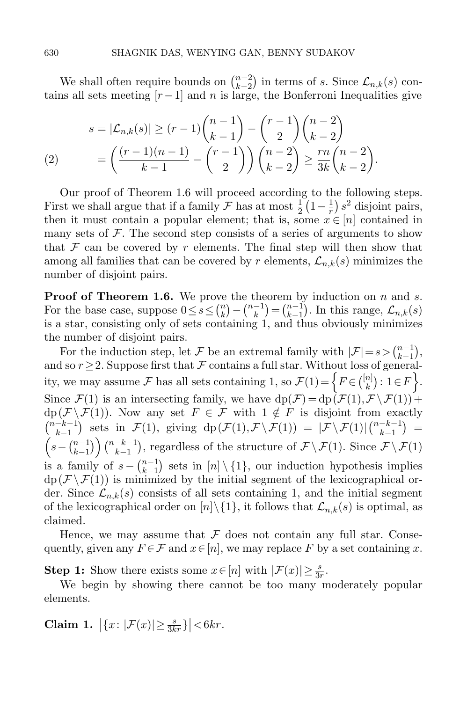We shall often require bounds on  $\binom{n-2}{k-2}$  $\binom{n-2}{k-2}$  in terms of s. Since  $\mathcal{L}_{n,k}(s)$  contains all sets meeting  $[r-1]$  and n is large, the Bonferroni Inequalities give

<span id="page-7-0"></span>
$$
s = |\mathcal{L}_{n,k}(s)| \ge (r-1) \binom{n-1}{k-1} - \binom{r-1}{2} \binom{n-2}{k-2}
$$
  
(2) 
$$
= \left( \frac{(r-1)(n-1)}{k-1} - \binom{r-1}{2} \right) \binom{n-2}{k-2} \ge \frac{rn}{3k} \binom{n-2}{k-2}.
$$

Our proof of Theorem [1.6](#page-4-1) will proceed according to the following steps. First we shall argue that if a family  $\mathcal F$  has at most  $\frac{1}{2} \left(1 - \frac{1}{r}\right)$  $(\frac{1}{r}) s^2$  disjoint pairs, then it must contain a popular element; that is, some  $x \in [n]$  contained in many sets of  $\mathcal F$ . The second step consists of a series of arguments to show that  $\mathcal F$  can be covered by r elements. The final step will then show that among all families that can be covered by r elements,  $\mathcal{L}_{n,k}(s)$  minimizes the number of disjoint pairs.

**Proof of Theorem [1.6.](#page-4-1)** We prove the theorem by induction on  $n$  and  $s$ . For the base case, suppose  $0 \leq s \leq {n \choose k}$  $\binom{n}{k} - \binom{n-1}{k}$  $\binom{-1}{k} = \binom{n-1}{k-1}$  $\binom{n-1}{k-1}$ . In this range,  $\mathcal{L}_{n,k}(s)$ is a star, consisting only of sets containing 1, and thus obviously minimizes the number of disjoint pairs.

For the induction step, let F be an extremal family with  $|\mathcal{F}| = s > \binom{n-1}{k-1}$  $\binom{n-1}{k-1},$ and so  $r \geq 2$ . Suppose first that F contains a full star. Without loss of generality, we may assume  $\mathcal F$  has all sets containing 1, so  $\mathcal F(1) = \Big\{ F \in \binom{[n]}{k} \Big\}$  $\begin{bmatrix} n \\ k \end{bmatrix}$ :  $1 \in F$ . Since  $\mathcal{F}(1)$  is an intersecting family, we have  $dp(\mathcal{F}) = dp(\mathcal{F}(1), \mathcal{F} \setminus \mathcal{F}(1))+$  $dp(\mathcal{F} \backslash \mathcal{F}(1))$ . Now any set  $F \in \mathcal{F}$  with  $1 \notin F$  is disjoint from exactly  $\binom{n-k-1}{k-1}$  $\binom{-k-1}{k-1}$  sets in  $\mathcal{F}(1)$ , giving  $dp(\mathcal{F}(1), \mathcal{F} \setminus \mathcal{F}(1)) = |\mathcal{F} \setminus \mathcal{F}(1)| \binom{n-k-1}{k-1}$  $\binom{-k-1}{k-1} =$  $\left(s - \binom{n-1}{k-1}\right)$  $\binom{n-1}{k-1}$   $\binom{n-k-1}{k-1}$  $\mathcal{F}_{k-1}^{k-1}$ , regardless of the structure of  $\mathcal{F}\setminus\mathcal{F}(1)$ . Since  $\mathcal{F}\setminus\mathcal{F}(1)$ is a family of  $s - \binom{n-1}{k-1}$  $\binom{n-1}{k-1}$  sets in  $[n] \setminus \{1\}$ , our induction hypothesis implies  $dp(F \setminus F(1))$  is minimized by the initial segment of the lexicographical order. Since  $\mathcal{L}_{n,k}(s)$  consists of all sets containing 1, and the initial segment of the lexicographical order on  $[n]\setminus\{1\}$ , it follows that  $\mathcal{L}_{n,k}(s)$  is optimal, as claimed.

Hence, we may assume that  $\mathcal F$  does not contain any full star. Consequently, given any  $F \in \mathcal{F}$  and  $x \in [n]$ , we may replace F by a set containing x.

**Step 1:** Show there exists some  $x \in [n]$  with  $|\mathcal{F}(x)| \ge \frac{s}{3r}$ .

We begin by showing there cannot be too many moderately popular elements.

<span id="page-7-1"></span>Claim 1.  $|\{x: |\mathcal{F}(x)| \ge \frac{s}{3kr}\}| < 6kr$ .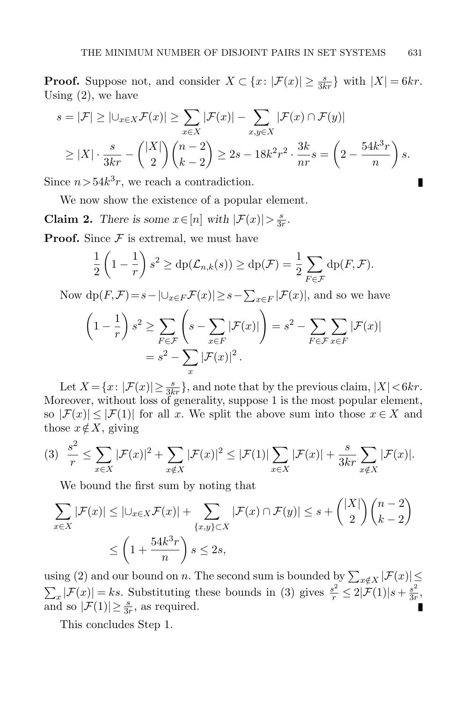**Proof.** Suppose not, and consider  $X \subset \{x : |\mathcal{F}(x)| \geq \frac{s}{3kr}\}\$  with  $|X| = 6kr$ . Using [\(2\)](#page-7-0), we have

$$
s = |\mathcal{F}| \geq |\bigcup_{x \in X} \mathcal{F}(x)| \geq \sum_{x \in X} |\mathcal{F}(x)| - \sum_{x, y \in X} |\mathcal{F}(x) \cap \mathcal{F}(y)|
$$
  
 
$$
\geq |X| \cdot \frac{s}{3kr} - {|\mathcal{X}| \choose 2} {n-2 \choose k-2} \geq 2s - 18k^2r^2 \cdot \frac{3k}{nr}s = \left(2 - \frac{54k^3r}{n}\right)s.
$$

Since  $n > 54k^3r$ , we reach a contradiction.

We now show the existence of a popular element.

<span id="page-8-1"></span>**Claim 2.** There is some  $x \in [n]$  with  $|\mathcal{F}(x)| > \frac{s}{30}$  $\frac{s}{3r}$ .

**Proof.** Since  $\mathcal F$  is extremal, we must have

$$
\frac{1}{2}\left(1-\frac{1}{r}\right)s^2 \ge \mathrm{dp}(\mathcal{L}_{n,k}(s)) \ge \mathrm{dp}(\mathcal{F}) = \frac{1}{2}\sum_{F \in \mathcal{F}} \mathrm{dp}(F,\mathcal{F}).
$$

Now  $dp(F,\mathcal{F})=s-|U_{x\in F}\mathcal{F}(x)|\geq s-\sum_{x\in F}|\mathcal{F}(x)|$ , and so we have

$$
\left(1 - \frac{1}{r}\right)s^2 \ge \sum_{F \in \mathcal{F}} \left(s - \sum_{x \in F} |\mathcal{F}(x)|\right) = s^2 - \sum_{F \in \mathcal{F}} \sum_{x \in F} |\mathcal{F}(x)|
$$

$$
= s^2 - \sum_x |\mathcal{F}(x)|^2.
$$

Let  $X = \{x : |\mathcal{F}(x)| \ge \frac{s}{3kr}\}\,$  and note that by the previous claim,  $|X| < 6kr$ . Moreover, without loss of generality, suppose 1 is the most popular element, so  $|\mathcal{F}(x)| \leq |\mathcal{F}(1)|$  for all x. We split the above sum into those  $x \in X$  and those  $x \notin X$ , giving

<span id="page-8-0"></span>
$$
(3) \quad \frac{s^2}{r} \leq \sum_{x \in X} |\mathcal{F}(x)|^2 + \sum_{x \notin X} |\mathcal{F}(x)|^2 \leq |\mathcal{F}(1)| \sum_{x \in X} |\mathcal{F}(x)| + \frac{s}{3kr} \sum_{x \notin X} |\mathcal{F}(x)|.
$$

We bound the first sum by noting that

$$
\sum_{x \in X} |\mathcal{F}(x)| \le |\cup_{x \in X} \mathcal{F}(x)| + \sum_{\{x,y\} \subset X} |\mathcal{F}(x) \cap \mathcal{F}(y)| \le s + {|\mathcal{X}| \choose 2} {n-2 \choose k-2}
$$
  

$$
\le \left(1 + \frac{54k^3r}{n}\right)s \le 2s,
$$

using [\(2\)](#page-7-0) and our bound on n. The second sum is bounded by  $\sum_{x \notin X} |\mathcal{F}(x)| \leq$  $\sum_{x} |\mathcal{F}(x)| = ks$ . Substituting these bounds in [\(3\)](#page-8-0) gives  $\frac{s^2}{r} \leq 2|\mathcal{F}(1)|s + \frac{s^2}{3r}$  $rac{s^2}{3r}$ and so  $|\mathcal{F}(1)| \geq \frac{s}{3r}$ , as required.

This concludes Step 1.

П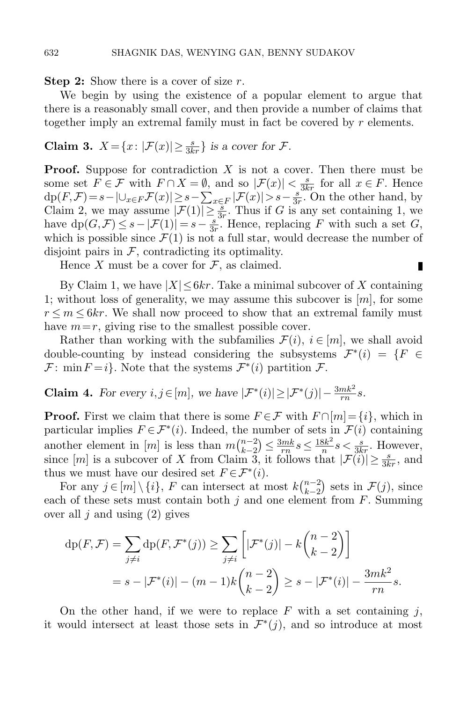**Step 2:** Show there is a cover of size  $r$ .

We begin by using the existence of a popular element to argue that there is a reasonably small cover, and then provide a number of claims that together imply an extremal family must in fact be covered by r elements.

<span id="page-9-0"></span>**Claim 3.** 
$$
X = \{x : |\mathcal{F}(x)| \ge \frac{s}{3kr}\}\
$$
is a cover for  $\mathcal{F}$ .

**Proof.** Suppose for contradiction  $X$  is not a cover. Then there must be some set  $F \in \mathcal{F}$  with  $F \cap X = \emptyset$ , and so  $|\mathcal{F}(x)| < \frac{s}{3kr}$  for all  $x \in F$ . Hence  $\operatorname{dp}(F,\mathcal{F}) = s - |\bigcup_{x \in F} \mathcal{F}(x)| \geq s - \sum_{x \in F} |\mathcal{F}(x)| > s - \frac{s}{3s}$  $\frac{s}{3r}$ . On the other hand, by Claim [2,](#page-8-1) we may assume  $|\mathcal{F}(1)| \geq \frac{3}{3r}$ . Thus if G is any set containing 1, we have  $dp(G, \mathcal{F}) \leq s - |\mathcal{F}(1)| = s - \frac{s}{3s}$  $\frac{s}{3r}$ . Hence, replacing F with such a set G, which is possible since  $\mathcal{F}(1)$  is not a full star, would decrease the number of disjoint pairs in  $F$ , contradicting its optimality.

Hence X must be a cover for  $\mathcal F$ , as claimed.

By Claim [1,](#page-7-1) we have  $|X| \leq 6kr$ . Take a minimal subcover of X containing 1; without loss of generality, we may assume this subcover is  $[m]$ , for some  $r \leq m \leq 6kr$ . We shall now proceed to show that an extremal family must have  $m=r$ , giving rise to the smallest possible cover.

П

Rather than working with the subfamilies  $\mathcal{F}(i)$ ,  $i \in [m]$ , we shall avoid double-counting by instead considering the subsystems  $\mathcal{F}^*(i) = \{F \in$  $\mathcal{F}: \min F = i$ . Note that the systems  $\mathcal{F}^*(i)$  partition  $\mathcal{F}.$ 

<span id="page-9-1"></span>**Claim 4.** For every  $i, j \in [m]$ , we have  $|\mathcal{F}^*(i)| \geq |\mathcal{F}^*(j)| - \frac{3mk^2}{rn}s$ .

**Proof.** First we claim that there is some  $F \in \mathcal{F}$  with  $F \cap [m] = \{i\}$ , which in particular implies  $F \in \mathcal{F}^*(i)$ . Indeed, the number of sets in  $\mathcal{F}(i)$  containing another element in [m] is less than  $m \binom{n-2}{k-2}$  $\binom{n-2}{k-2} \leq \frac{3mk}{rn}$  $\frac{3mk}{rn} s \leq \frac{18k^2}{n}$  $\frac{3k^2}{n}s < \frac{s}{3kr}$ . However, since  $[m]$  is a subcover of X from Claim [3,](#page-9-0) it follows that  $|\mathcal{F}(i)| \geq \frac{s}{3kr}$ , and thus we must have our desired set  $F \in \mathcal{F}^*(i)$ .

For any  $j \in [m] \setminus \{i\}, F$  can intersect at most  $k {n-2 \choose k-2}$  $_{k-2}^{n-2}$  sets in  $\mathcal{F}(j)$ , since each of these sets must contain both  $j$  and one element from  $F$ . Summing over all  $j$  and using  $(2)$  gives

$$
dp(F, \mathcal{F}) = \sum_{j \neq i} dp(F, \mathcal{F}^*(j)) \ge \sum_{j \neq i} \left[ |\mathcal{F}^*(j)| - k {n-2 \choose k-2} \right]
$$
  
=  $s - |\mathcal{F}^*(i)| - (m-1)k {n-2 \choose k-2} \ge s - |\mathcal{F}^*(i)| - \frac{3mk^2}{rn}s.$ 

On the other hand, if we were to replace  $F$  with a set containing j, it would intersect at least those sets in  $\mathcal{F}^*(j)$ , and so introduce at most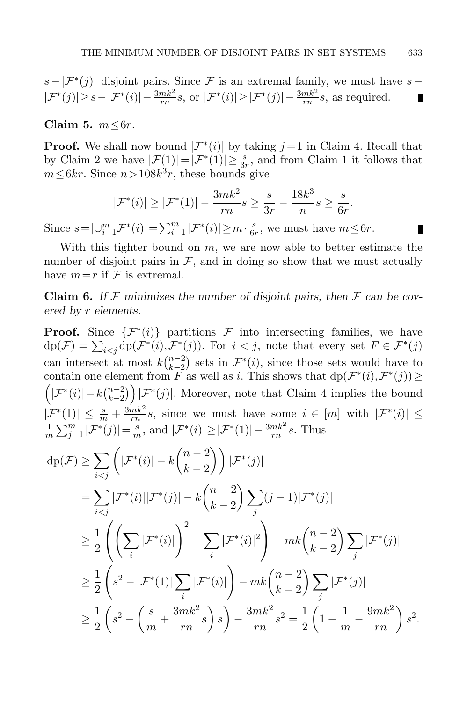$$
s - |\mathcal{F}^*(j)|
$$
 disjoint pairs. Since  $\mathcal{F}$  is an extremal family, we must have  $s - |\mathcal{F}^*(j)| \geq s - |\mathcal{F}^*(i)| - \frac{3mk^2}{rn}s$ , or  $|\mathcal{F}^*(i)| \geq |\mathcal{F}^*(j)| - \frac{3mk^2}{rn}s$ , as required.

Claim 5.  $m \leq 6r$ .

**Proof.** We shall now bound  $|\mathcal{F}^*(i)|$  by taking  $j = 1$  in Claim [4.](#page-9-1) Recall that by Claim [2](#page-8-1) we have  $|\mathcal{F}(1)| = |\mathcal{F}^*(1)| \ge \frac{s}{3r}$ , and from Claim [1](#page-7-1) it follows that  $m \leq 6kr$ . Since  $n > 108k^3r$ , these bounds give

$$
|\mathcal{F}^*(i)| \ge |\mathcal{F}^*(1)| - \frac{3mk^2}{rn}s \ge \frac{s}{3r} - \frac{18k^3}{n}s \ge \frac{s}{6r}.
$$

п

Since  $s = |\bigcup_{i=1}^{m} \mathcal{F}^*(i)| = \sum_{i=1}^{m} |\mathcal{F}^*(i)| \geq m \cdot \frac{s}{6i}$  $\frac{s}{6r}$ , we must have  $m \leq 6r$ .

With this tighter bound on  $m$ , we are now able to better estimate the number of disjoint pairs in  $\mathcal{F}$ , and in doing so show that we must actually have  $m=r$  if  $\mathcal F$  is extremal.

<span id="page-10-0"></span>**Claim 6.** If F minimizes the number of disjoint pairs, then F can be covered by r elements.

**Proof.** Since  $\{\mathcal{F}^*(i)\}$  partitions  $\mathcal{F}$  into intersecting families, we have  $dp(\mathcal{F}) = \sum_{i < j} dp(\mathcal{F}^*(i), \mathcal{F}^*(j)).$  For  $i < j$ , note that every set  $F \in \mathcal{F}^*(j)$ can intersect at most  $k\binom{n-2}{k-2}$  $\binom{n-2}{k-2}$  sets in  $\mathcal{F}^*(i)$ , since those sets would have to contain one element from  $\overline{F}$  as well as i. This shows that  $dp(\mathcal{F}^*(i), \mathcal{F}^*(j)) \ge$  $(|\mathcal{F}^*(i)| - k \binom{n-2}{k-2}$  $\binom{n-2}{k-2}$  |  $\mathcal{F}^*(j)$ . Moreover, note that Claim [4](#page-9-1) implies the bound  $|\mathcal{F}^*(1)| \leq \frac{s}{m} + \frac{3mk^2}{rn}$  $\frac{mk^2}{rn}s$ , since we must have some  $i \in [m]$  with  $|\mathcal{F}^*(i)| \leq$ 1  $\frac{1}{m} \sum_{j=1}^{m} |\mathcal{F}^*(j)| = \frac{s}{m}$  $\frac{s}{m}$ , and  $|\mathcal{F}^*(i)| \geq |\mathcal{F}^*(1)| - \frac{3mk^2}{rn} s$ . Thus

$$
dp(\mathcal{F}) \geq \sum_{i < j} \left( |\mathcal{F}^*(i)| - k{n-2 \choose k-2} \right) |\mathcal{F}^*(j)|
$$
\n
$$
= \sum_{i < j} |\mathcal{F}^*(i)| |\mathcal{F}^*(j)| - k{n-2 \choose k-2} \sum_j (j-1) |\mathcal{F}^*(j)|
$$
\n
$$
\geq \frac{1}{2} \left( \left( \sum_i |\mathcal{F}^*(i)| \right)^2 - \sum_i |\mathcal{F}^*(i)|^2 \right) - mk{n-2 \choose k-2} \sum_j |\mathcal{F}^*(j)|
$$
\n
$$
\geq \frac{1}{2} \left( s^2 - |\mathcal{F}^*(1)| \sum_i |\mathcal{F}^*(i)| \right) - mk{n-2 \choose k-2} \sum_j |\mathcal{F}^*(j)|
$$
\n
$$
\geq \frac{1}{2} \left( s^2 - \left( \frac{s}{m} + \frac{3mk^2}{rn} s \right) s \right) - \frac{3mk^2}{rn} s^2 = \frac{1}{2} \left( 1 - \frac{1}{m} - \frac{9mk^2}{rn} \right) s^2.
$$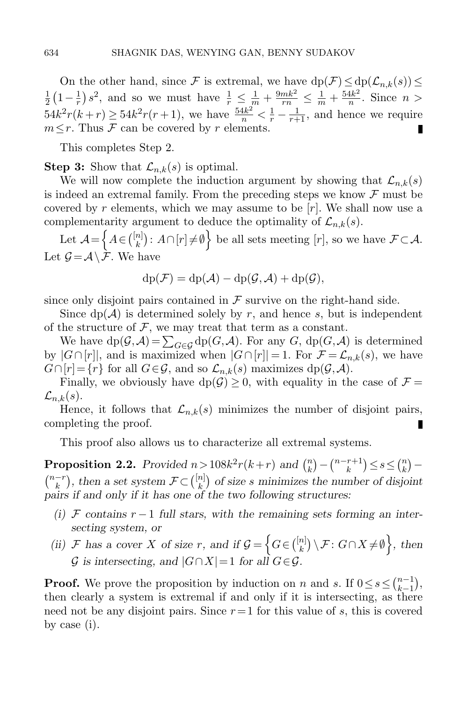On the other hand, since F is extremal, we have  $dp(\mathcal{F}) \le dp(\mathcal{L}_{n,k}(s)) \le$  $\frac{1}{r}$  s<sup>2</sup>, and so we must have  $\frac{1}{r} \leq \frac{1}{m} + \frac{9mk^2}{rn} \leq \frac{1}{m} + \frac{54k^2}{n}$ 1  $rac{1}{2}(1-\frac{1}{r})$  $\frac{4k^2}{n}$ . Since  $n >$  $54k^2r(k+r) \ge 54k^2r(r+1)$ , we have  $\frac{54k^2}{n} < \frac{1}{r} - \frac{1}{r+1}$ , and hence we require  $m \leq r$ . Thus F can be covered by r elements. П

This completes Step 2.

**Step 3:** Show that  $\mathcal{L}_{n,k}(s)$  is optimal.

We will now complete the induction argument by showing that  $\mathcal{L}_{n,k}(s)$ is indeed an extremal family. From the preceding steps we know  $\mathcal F$  must be covered by r elements, which we may assume to be  $[r]$ . We shall now use a complementarity argument to deduce the optimality of  $\mathcal{L}_{n,k}(s)$ .

Let  $\mathcal{A} = \left\{ A \in \binom{[n]}{k} \right\}$  $\mathbb{R}^{n}$ :  $A\cap[r]\neq\emptyset$  be all sets meeting  $[r]$ , so we have  $\mathcal{F}\subset\mathcal{A}$ . Let  $\mathcal{G} = \mathcal{A} \setminus \mathcal{F}$ . We have

$$
dp(\mathcal{F}) = dp(\mathcal{A}) - dp(\mathcal{G}, \mathcal{A}) + dp(\mathcal{G}),
$$

since only disjoint pairs contained in  $\mathcal F$  survive on the right-hand side.

Since  $dp(\mathcal{A})$  is determined solely by r, and hence s, but is independent of the structure of  $F$ , we may treat that term as a constant.

We have  $dp(\mathcal{G}, \mathcal{A}) = \sum_{G \in \mathcal{G}} dp(G, \mathcal{A})$ . For any G,  $dp(G, \mathcal{A})$  is determined by  $|G \cap [r]|$ , and is maximized when  $|G \cap [r]| = 1$ . For  $\mathcal{F} = \mathcal{L}_{n,k}(s)$ , we have  $G \cap [r] = \{r\}$  for all  $G \in \mathcal{G}$ , and so  $\mathcal{L}_{n,k}(s)$  maximizes dp $(\mathcal{G}, \mathcal{A})$ .

Finally, we obviously have  $dp(\mathcal{G}) \geq 0$ , with equality in the case of  $\mathcal{F} =$  $\mathcal{L}_{n,k}(s)$ .

Hence, it follows that  $\mathcal{L}_{n,k}(s)$  minimizes the number of disjoint pairs, completing the proof.

This proof also allows us to characterize all extremal systems.

<span id="page-11-0"></span>**Proposition 2.2.** Provided  $n > 108k^2r(k+r)$  and  $\binom{n}{k}$  $\binom{n}{k} - \binom{n-r+1}{k}$  $\binom{r+1}{k} \leq s \leq \binom{n}{k}$  $\binom{n}{k}$  –  $\binom{n-r}{k}$  $\binom{-r}{k}$ , then a set system  $\mathcal{F} \subset \binom{[n]}{k}$  $\binom{n}{k}$  of size s minimizes the number of disjoint pairs if and only if it has one of the two following structures:

- (i) F contains  $r-1$  full stars, with the remaining sets forming an intersecting system, or
- (ii) F has a cover X of size r, and if  $\mathcal{G} = \left\{ G \in \binom{[n]}{k} \right\}$  $\mathbb{E}_{k}^{[n]} \setminus \mathcal{F}: G \cap X \neq \emptyset$ , then  $\mathcal G$  is intersecting, and  $|G \cap X|=1$  for all  $G \in \mathcal G$ .

**Proof.** We prove the proposition by induction on n and s. If  $0 \le s \le {n-1 \choose k-1}$  $\binom{n-1}{k-1},$ then clearly a system is extremal if and only if it is intersecting, as there need not be any disjoint pairs. Since  $r=1$  for this value of s, this is covered by case (i).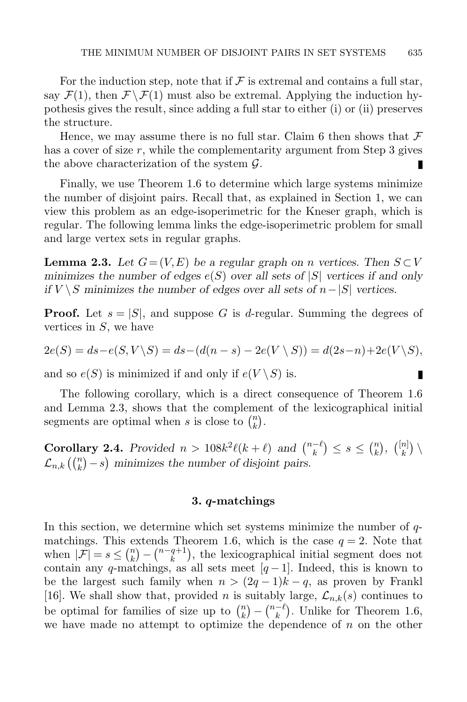For the induction step, note that if  $\mathcal F$  is extremal and contains a full star, say  $\mathcal{F}(1)$ , then  $\mathcal{F} \backslash \mathcal{F}(1)$  must also be extremal. Applying the induction hypothesis gives the result, since adding a full star to either (i) or (ii) preserves the structure.

Hence, we may assume there is no full star. Claim [6](#page-10-0) then shows that  $\mathcal F$ has a cover of size  $r$ , while the complementarity argument from Step 3 gives the above characterization of the system  $\mathcal{G}$ .

Finally, we use Theorem [1.6](#page-4-1) to determine which large systems minimize the number of disjoint pairs. Recall that, as explained in Section [1,](#page-0-0) we can view this problem as an edge-isoperimetric for the Kneser graph, which is regular. The following lemma links the edge-isoperimetric problem for small and large vertex sets in regular graphs.

<span id="page-12-2"></span>**Lemma 2.3.** Let  $G = (V, E)$  be a regular graph on n vertices. Then  $S \subset V$ minimizes the number of edges  $e(S)$  over all sets of  $|S|$  vertices if and only if  $V \ S$  minimizes the number of edges over all sets of  $n-|S|$  vertices.

**Proof.** Let  $s = |S|$ , and suppose G is d-regular. Summing the degrees of vertices in  $S$ , we have

$$
2e(S) = ds - e(S, V \setminus S) = ds - (d(n - s) - 2e(V \setminus S)) = d(2s - n) + 2e(V \setminus S),
$$

п

and so  $e(S)$  is minimized if and only if  $e(V \setminus S)$  is.

The following corollary, which is a direct consequence of Theorem [1.6](#page-4-1) and Lemma [2.3,](#page-12-2) shows that the complement of the lexicographical initial segments are optimal when s is close to  $\binom{n}{k}$  $\binom{n}{k}$ .

<span id="page-12-0"></span>**Corollary 2.4.** Provided  $n > 108k^2\ell(k+\ell)$  and  $\binom{n-\ell}{k}$  $\binom{-\ell}{k} \leq s \leq \binom{n}{k}$  $\binom{n}{k}$ ,  $\binom{[n]}{k}$  $\binom{n}{k}$  $\mathcal{L}_{n,k}\left(\binom{n}{k}-s\right)$  minimizes the number of disjoint pairs.

### 3. q-matchings

<span id="page-12-1"></span>In this section, we determine which set systems minimize the number of  $q$ -matchings. This extends Theorem [1.6,](#page-4-1) which is the case  $q = 2$ . Note that when  $|\mathcal{F}| = s \leq {n \choose k}$  $\binom{n}{k} - \binom{n-q+1}{k}$  $\binom{q+1}{k}$ , the lexicographical initial segment does not contain any q-matchings, as all sets meet  $[q-1]$ . Indeed, this is known to be the largest such family when  $n > (2q - 1)k - q$ , as proven by Frankl [\[16\]](#page-37-2). We shall show that, provided n is suitably large,  $\mathcal{L}_{n,k}(s)$  continues to be optimal for families of size up to  $\binom{n}{k}$  $\binom{n}{k} - \binom{n-\ell}{k}$  $\binom{-\ell}{k}$ . Unlike for Theorem [1.6,](#page-4-1) we have made no attempt to optimize the dependence of  $n$  on the other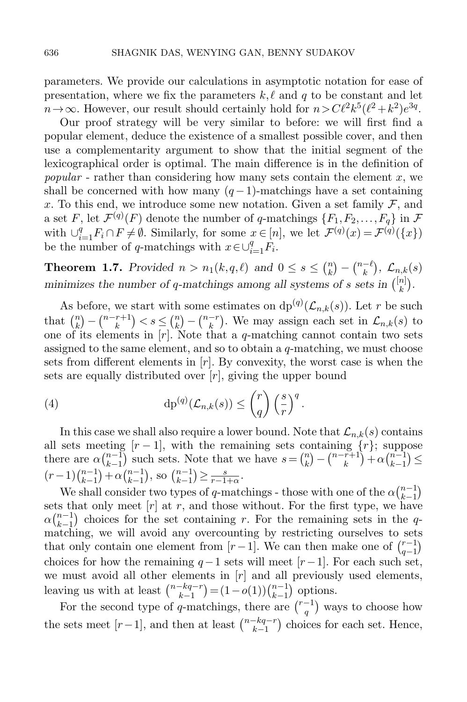parameters. We provide our calculations in asymptotic notation for ease of presentation, where we fix the parameters  $k, \ell$  and q to be constant and let  $n \to \infty$ . However, our result should certainly hold for  $n > C\ell^2 k^5(\ell^2 + k^2)e^{3q}$ .

Our proof strategy will be very similar to before: we will first find a popular element, deduce the existence of a smallest possible cover, and then use a complementarity argument to show that the initial segment of the lexicographical order is optimal. The main difference is in the definition of popular - rather than considering how many sets contain the element  $x$ , we shall be concerned with how many  $(q-1)$ -matchings have a set containing x. To this end, we introduce some new notation. Given a set family  $\mathcal{F}$ , and a set F, let  $\mathcal{F}^{(q)}(F)$  denote the number of q-matchings  $\{F_1, F_2, \ldots, F_q\}$  in  $\mathcal F$ with  $\bigcup_{i=1}^q F_i \cap F \neq \emptyset$ . Similarly, for some  $x \in [n]$ , we let  $\mathcal{F}^{(q)}(x) = \mathcal{F}^{(q)}(\{x\})$ be the number of q-matchings with  $x \in \bigcup_{i=1}^{q} F_i$ .

**Theorem 1.7.** Provided  $n > n_1(k,q,\ell)$  and  $0 \leq s \leq {n \choose k}$  $\binom{n}{k} - \binom{n-k}{k}$  $\binom{-\ell}{k},\,\,\mathcal{L}_{n,k}(s)$ minimizes the number of q-matchings among all systems of s sets in  $\binom{[n]}{k}$  $\binom{n}{k}$ .

As before, we start with some estimates on  $dp^{(q)}(\mathcal{L}_{n,k}(s))$ . Let r be such that  $\binom{n}{k}$  $\binom{n}{k} - \binom{n-r+1}{k}$  $\binom{r+1}{k} < s \leq \binom{n}{k}$  $\binom{n}{k} - \binom{n-r}{k}$  $\binom{-r}{k}$ . We may assign each set in  $\mathcal{L}_{n,k}(s)$  to one of its elements in  $[r]$ . Note that a q-matching cannot contain two sets assigned to the same element, and so to obtain a  $q$ -matching, we must choose sets from different elements in  $[r]$ . By convexity, the worst case is when the sets are equally distributed over  $[r]$ , giving the upper bound

<span id="page-13-0"></span>(4) 
$$
\mathrm{dp}^{(q)}(\mathcal{L}_{n,k}(s)) \leq {r \choose q} \left(\frac{s}{r}\right)^q.
$$

In this case we shall also require a lower bound. Note that  $\mathcal{L}_{n,k}(s)$  contains all sets meeting  $[r-1]$ , with the remaining sets containing  $\{r\}$ ; suppose there are  $\alpha \binom{n-1}{k-1}$  $\binom{n-1}{k-1}$  such sets. Note that we have  $s = \binom{n}{k}$  $\binom{n}{k} - \binom{n-r+1}{k}$  $\binom{n+1}{k} + \alpha \binom{n-1}{k-1}$  $\binom{n-1}{k-1}$  $(r-1)\binom{n-1}{k-1}$  $\binom{n-1}{k-1} + \alpha \binom{n-1}{k-1}$  $_{k-1}^{n-1}$ ), so  $\binom{n-1}{k-1}$  $\binom{n-1}{k-1} \geq \frac{s}{r-1+\alpha}.$ 

We shall consider two types of q-matchings - those with one of the  $\alpha \binom{n-1}{k-1}$  $\binom{n-1}{k-1}$ sets that only meet  $[r]$  at r, and those without. For the first type, we have  $\alpha \binom{n-1}{k-1}$  $\binom{n-1}{k-1}$  choices for the set containing r. For the remaining sets in the qmatching, we will avoid any overcounting by restricting ourselves to sets that only contain one element from  $[r-1]$ . We can then make one of  $\binom{r-1}{q-1}$  $\binom{r-1}{q-1}$ choices for how the remaining  $q-1$  sets will meet  $[r-1]$ . For each such set, we must avoid all other elements in  $[r]$  and all previously used elements, leaving us with at least  $\binom{n-kq-r}{k-1}$  $\binom{-kq-r}{k-1} = (1-o(1))\binom{n-1}{k-1}$  $_{k-1}^{n-1}$  options.

For the second type of q-matchings, there are  $\binom{r-1}{q}$  $\binom{-1}{q}$  ways to choose how the sets meet  $[r-1]$ , and then at least  $\binom{n-kq-r}{k-1}$  $\binom{-kq-r}{k-1}$  choices for each set. Hence,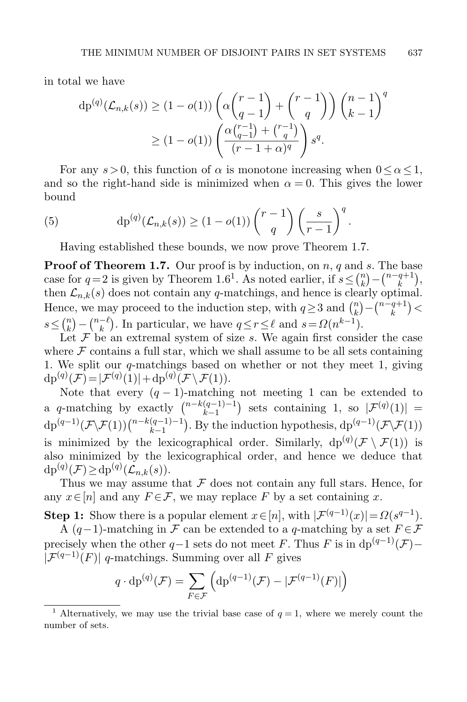in total we have

$$
dp^{(q)}(\mathcal{L}_{n,k}(s)) \ge (1 - o(1)) \left( \alpha \binom{r-1}{q-1} + \binom{r-1}{q} \right) \binom{n-1}{k-1}^q
$$
  
 
$$
\ge (1 - o(1)) \left( \frac{\alpha \binom{r-1}{q-1} + \binom{r-1}{q}}{(r-1+\alpha)^q} \right) s^q.
$$

For any  $s > 0$ , this function of  $\alpha$  is monotone increasing when  $0 \leq \alpha \leq 1$ , and so the right-hand side is minimized when  $\alpha = 0$ . This gives the lower bound

(5) 
$$
\mathrm{dp}^{(q)}(\mathcal{L}_{n,k}(s)) \geq (1 - o(1)) \binom{r-1}{q} \left(\frac{s}{r-1}\right)^q.
$$

<span id="page-14-0"></span>Having established these bounds, we now prove Theorem [1.7.](#page-4-2)

**Proof of Theorem [1.7.](#page-4-2)** Our proof is by induction, on  $n, q$  and s. The base case for  $q=2$  is given by Theorem [1.6](#page-4-1)<sup>1</sup>. As noted earlier, if  $s \leq {n \choose k}$  $\binom{n}{k} - \binom{n-q+1}{k}$  $\binom{q+1}{k},$ then  $\mathcal{L}_{n,k}(s)$  does not contain any q-matchings, and hence is clearly optimal. Hence, we may proceed to the induction step, with  $q \geq 3$  and  $\binom{n}{k}$  $\binom{n}{k} - \binom{n-q+1}{k}$  ${k^{q+1} \choose k}$  $s \leq {n \choose k}$  $\binom{n}{k} - \binom{n-\ell}{k}$  $\binom{-\ell}{k}$ . In particular, we have  $q \leq r \leq \ell$  and  $s = \Omega(n^{k-1})$ .

Let  $\mathcal F$  be an extremal system of size s. We again first consider the case where  $F$  contains a full star, which we shall assume to be all sets containing 1. We split our  $q$ -matchings based on whether or not they meet 1, giving  $dp^{(q)}(\mathcal{F}) = |\mathcal{F}^{(q)}(1)| + dp^{(q)}(\mathcal{F} \setminus \mathcal{F}(1)).$ 

Note that every  $(q-1)$ -matching not meeting 1 can be extended to a q-matching by exactly  $\binom{n-k(q-1)-1}{k-1}$  $\binom{(q-1)-1}{k-1}$  sets containing 1, so  $|\mathcal{F}^{(q)}(1)| =$  $dp^{(q-1)}(\mathcal{F}\backslash\mathcal{F}(1))\binom{n-k(q-1)-1}{k-1}$  $(k-1)(q-1)-1)$ . By the induction hypothesis, dp<sup>(q-1)</sup>( $\mathcal{F}\setminus\mathcal{F}(1)$ ) is minimized by the lexicographical order. Similarly,  $dp^{(q)}(\mathcal{F} \setminus \mathcal{F}(1))$  is also minimized by the lexicographical order, and hence we deduce that  $dp^{(q)}(\mathcal{F}) \ge dp^{(q)}(\mathcal{L}_{n,k}(s)).$ 

Thus we may assume that  $\mathcal F$  does not contain any full stars. Hence, for any  $x \in [n]$  and any  $F \in \mathcal{F}$ , we may replace F by a set containing x.

**Step 1:** Show there is a popular element  $x \in [n]$ , with  $|\mathcal{F}^{(q-1)}(x)| = \Omega(s^{q-1})$ .

A  $(q-1)$ -matching in F can be extended to a q-matching by a set  $F \in \mathcal{F}$ precisely when the other  $q-1$  sets do not meet F. Thus F is in dp<sup> $(q-1)(\mathcal{F})-$ </sup>  $[\mathcal{F}^{(q-1)}(F)]$  q-matchings. Summing over all F gives

$$
q \cdot \mathrm{dp}^{(q)}(\mathcal{F}) = \sum_{F \in \mathcal{F}} \left( \mathrm{dp}^{(q-1)}(\mathcal{F}) - |\mathcal{F}^{(q-1)}(F)| \right)
$$

<sup>&</sup>lt;sup>1</sup> Alternatively, we may use the trivial base case of  $q = 1$ , where we merely count the number of sets.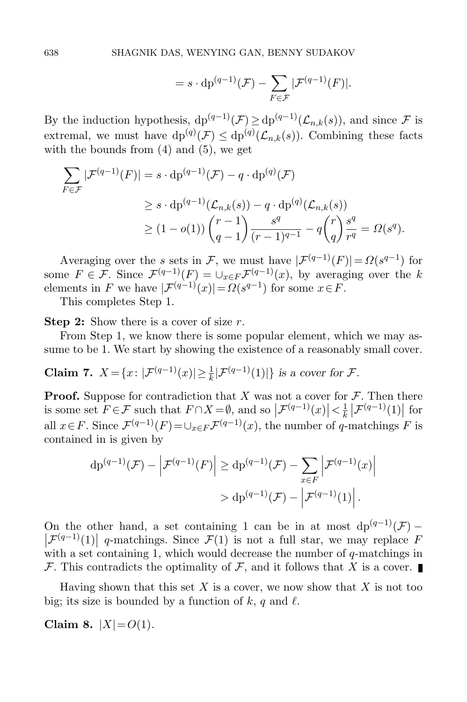$$
= s \cdot dp^{(q-1)}(\mathcal{F}) - \sum_{F \in \mathcal{F}} |\mathcal{F}^{(q-1)}(F)|.
$$

By the induction hypothesis,  $dp^{(q-1)}(\mathcal{F}) \ge dp^{(q-1)}(\mathcal{L}_{n,k}(s))$ , and since  $\mathcal F$  is extremal, we must have  $dp^{(q)}(\mathcal{F}) \leq dp^{(q)}(\mathcal{L}_{n,k}(s))$ . Combining these facts with the bounds from  $(4)$  and  $(5)$ , we get

$$
\sum_{F \in \mathcal{F}} |\mathcal{F}^{(q-1)}(F)| = s \cdot dp^{(q-1)}(\mathcal{F}) - q \cdot dp^{(q)}(\mathcal{F})
$$
\n
$$
\geq s \cdot dp^{(q-1)}(\mathcal{L}_{n,k}(s)) - q \cdot dp^{(q)}(\mathcal{L}_{n,k}(s))
$$
\n
$$
\geq (1 - o(1)) \binom{r-1}{q-1} \frac{s^q}{(r-1)^{q-1}} - q \binom{r}{q} \frac{s^q}{r^q} = \Omega(s^q).
$$

Averaging over the s sets in F, we must have  $|\mathcal{F}^{(q-1)}(F)| = \Omega(s^{q-1})$  for some  $F \in \mathcal{F}$ . Since  $\mathcal{F}^{(q-1)}(F) = \cup_{x \in F} \mathcal{F}^{(q-1)}(x)$ , by averaging over the k elements in F we have  $|\mathcal{F}^{(q-1)}(x)| = \Omega(s^{q-1})$  for some  $x \in F$ .

This completes Step 1.

**Step 2:** Show there is a cover of size  $r$ .

From Step 1, we know there is some popular element, which we may assume to be 1. We start by showing the existence of a reasonably small cover.

**Claim 7.**  $X = \{x : |\mathcal{F}^{(q-1)}(x)| \geq \frac{1}{k} |\mathcal{F}^{(q-1)}(1)|\}$  is a cover for  $\mathcal{F}$ .

**Proof.** Suppose for contradiction that X was not a cover for  $\mathcal{F}$ . Then there is some set  $F \in \mathcal{F}$  such that  $F \cap X = \emptyset$ , and so  $|\mathcal{F}^{(q-1)}(x)| < \frac{1}{k}$  $\frac{1}{k} \left| \mathcal{F}^{(q-1)}(1) \right|$  for all  $x \in F$ . Since  $\mathcal{F}^{(q-1)}(F) = \bigcup_{x \in F} \mathcal{F}^{(q-1)}(x)$ , the number of q-matchings F is contained in is given by

$$
dp^{(q-1)}(\mathcal{F}) - \left| \mathcal{F}^{(q-1)}(F) \right| \ge dp^{(q-1)}(\mathcal{F}) - \sum_{x \in F} \left| \mathcal{F}^{(q-1)}(x) \right|
$$

$$
> dp^{(q-1)}(\mathcal{F}) - \left| \mathcal{F}^{(q-1)}(1) \right|.
$$

On the other hand, a set containing 1 can be in at most  $dp^{(q-1)}(\mathcal{F})$  –  $\left|\mathcal{F}^{(q-1)}(1)\right|$  q-matchings. Since  $\mathcal{F}(1)$  is not a full star, we may replace F with a set containing 1, which would decrease the number of  $q$ -matchings in F. This contradicts the optimality of F, and it follows that X is a cover.

Having shown that this set  $X$  is a cover, we now show that  $X$  is not too big; its size is bounded by a function of k, q and  $\ell$ .

Claim 8.  $|X|=O(1)$ .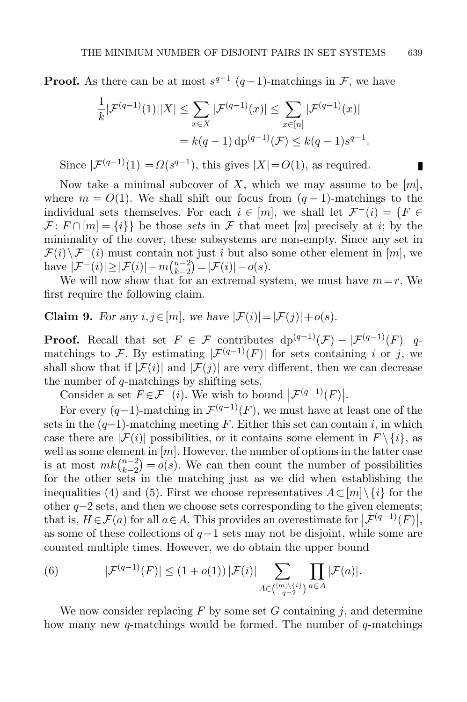**Proof.** As there can be at most  $s^{q-1}$  ( $q-1$ )-matchings in  $\mathcal{F}$ , we have

$$
\frac{1}{k}|\mathcal{F}^{(q-1)}(1)||X| \leq \sum_{x \in X} |\mathcal{F}^{(q-1)}(x)| \leq \sum_{x \in [n]} |\mathcal{F}^{(q-1)}(x)|
$$

$$
= k(q-1) dp^{(q-1)}(\mathcal{F}) \leq k(q-1)s^{q-1}.
$$

Since  $|\mathcal{F}^{(q-1)}(1)| = \Omega(s^{q-1})$ , this gives  $|X| = O(1)$ , as required.

Now take a minimal subcover of X, which we may assume to be  $[m]$ , where  $m = O(1)$ . We shall shift our focus from  $(q-1)$ -matchings to the individual sets themselves. For each  $i \in [m]$ , we shall let  $\mathcal{F}^{-}(i) = \{F \in$  $\mathcal{F}: F \cap [m] = \{i\}$  be those sets in  $\mathcal F$  that meet  $[m]$  precisely at i; by the minimality of the cover, these subsystems are non-empty. Since any set in  $\mathcal{F}(i)\setminus\mathcal{F}^-(i)$  must contain not just i but also some other element in  $[m]$ , we have  $|\mathcal{F}^{-}(i)| \geq |\mathcal{F}(i)| - m\binom{n-2}{k-2}$  $\binom{n-2}{k-2} = |\mathcal{F}(i)| - o(s).$ 

We will now show that for an extremal system, we must have  $m=r$ . We first require the following claim.

<span id="page-16-1"></span>**Claim 9.** For any  $i, j \in [m]$ , we have  $|\mathcal{F}(i)| = |\mathcal{F}(j)| + o(s)$ .

**Proof.** Recall that set  $F \in \mathcal{F}$  contributes  $dp^{(q-1)}(\mathcal{F}) - |\mathcal{F}^{(q-1)}(F)|$  qmatchings to F. By estimating  $|\mathcal{F}^{(q-1)}(F)|$  for sets containing i or j, we shall show that if  $|\mathcal{F}(i)|$  and  $|\mathcal{F}(j)|$  are very different, then we can decrease the number of q-matchings by shifting sets.

Consider a set  $F \in \mathcal{F}^-(i)$ . We wish to bound  $|\mathcal{F}^{(q-1)}(F)|$ .

For every  $(q-1)$ -matching in  $\mathcal{F}^{(q-1)}(F)$ , we must have at least one of the sets in the  $(q-1)$ -matching meeting F. Either this set can contain i, in which case there are  $|\mathcal{F}(i)|$  possibilities, or it contains some element in  $F \setminus \{i\}$ , as well as some element in  $[m]$ . However, the number of options in the latter case is at most  $mk\binom{n-2}{k-2}$  $\binom{n-2}{k-2} = o(s)$ . We can then count the number of possibilities for the other sets in the matching just as we did when establishing the inequalities [\(4\)](#page-13-0) and [\(5\)](#page-14-0). First we choose representatives  $A\subset [m]\setminus\{i\}$  for the other q−2 sets, and then we choose sets corresponding to the given elements; that is,  $H \in \mathcal{F}(a)$  for all  $a \in A$ . This provides an overestimate for  $\left| \mathcal{F}^{(q-1)}(F) \right|$ , as some of these collections of  $q-1$  sets may not be disjoint, while some are counted multiple times. However, we do obtain the upper bound

<span id="page-16-0"></span>(6) 
$$
|\mathcal{F}^{(q-1)}(F)| \le (1+o(1)) |\mathcal{F}(i)| \sum_{A \in \binom{[m]\setminus \{i\}}{q-2}} \prod_{a \in A} |\mathcal{F}(a)|.
$$

We now consider replacing  $F$  by some set  $G$  containing  $j$ , and determine how many new  $q$ -matchings would be formed. The number of  $q$ -matchings

П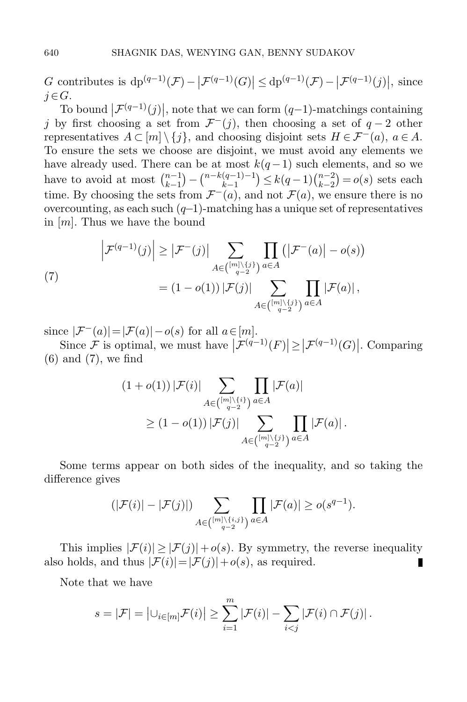G contributes is  $dp^{(q-1)}(\mathcal{F}) - |\mathcal{F}^{(q-1)}(G)| \leq dp^{(q-1)}(\mathcal{F}) - |\mathcal{F}^{(q-1)}(j)|$ , since  $j \in G$ .

To bound  $|\mathcal{F}^{(q-1)}(j)|$ , note that we can form  $(q-1)$ -matchings containing j by first choosing a set from  $\mathcal{F}^{-}(j)$ , then choosing a set of  $q-2$  other representatives  $A \subset [m] \setminus \{j\}$ , and choosing disjoint sets  $H \in \mathcal{F}^-(a)$ ,  $a \in A$ . To ensure the sets we choose are disjoint, we must avoid any elements we have already used. There can be at most  $k(q-1)$  such elements, and so we have to avoid at most  $\binom{n-1}{k-1}$  $\binom{n-1}{k-1} - \binom{n-k(q-1)-1}{k-1}$  $\binom{(q-1)-1}{k-1} \leq k(q-1) \binom{n-2}{k-2}$  $\binom{n-2}{k-2} = o(s)$  sets each time. By choosing the sets from  $\mathcal{F}^{-}(a)$ , and not  $\mathcal{F}(a)$ , we ensure there is no overcounting, as each such  $(q-1)$ -matching has a unique set of representatives in  $[m]$ . Thus we have the bound

<span id="page-17-0"></span>(7)  

$$
\left|\mathcal{F}^{(q-1)}(j)\right| \geq \left|\mathcal{F}^{-}(j)\right| \sum_{A \in \binom{[m]\setminus\{j\}}{q-2}} \prod_{a \in A} \left(\left|\mathcal{F}^{-}(a)\right| - o(s)\right)
$$

$$
= (1 - o(1))\left|\mathcal{F}(j)\right| \sum_{A \in \binom{[m]\setminus\{j\}}{q-2}} \prod_{a \in A} \left|\mathcal{F}(a)\right|,
$$

since  $|\mathcal{F}^{-}(a)| = |\mathcal{F}(a)| - o(s)$  for all  $a \in [m]$ .

Since F is optimal, we must have  $|\mathcal{F}^{(q-1)}(F)| \geq |\mathcal{F}^{(q-1)}(G)|$ . Comparing [\(6\)](#page-16-0) and [\(7\)](#page-17-0), we find

$$
(1+o(1)) |\mathcal{F}(i)| \sum_{A \in \binom{[m]\setminus\{i\}}{q-2}} \prod_{a \in A} |\mathcal{F}(a)|
$$
  
 
$$
\geq (1-o(1)) |\mathcal{F}(j)| \sum_{A \in \binom{[m]\setminus\{j\}}{q-2}} \prod_{a \in A} |\mathcal{F}(a)|.
$$

Some terms appear on both sides of the inequality, and so taking the difference gives

$$
(|\mathcal{F}(i)| - |\mathcal{F}(j)|) \sum_{A \in \binom{[m] \setminus \{i,j\}}{q-2}} \prod_{a \in A} |\mathcal{F}(a)| \ge o(s^{q-1}).
$$

This implies  $|\mathcal{F}(i)| \geq |\mathcal{F}(j)| + o(s)$ . By symmetry, the reverse inequality also holds, and thus  $|\mathcal{F}(i)| = |\mathcal{F}(j)| + o(s)$ , as required. П

Note that we have

$$
s = |\mathcal{F}| = \left| \bigcup_{i \in [m]} \mathcal{F}(i) \right| \geq \sum_{i=1}^{m} |\mathcal{F}(i)| - \sum_{i < j} |\mathcal{F}(i) \cap \mathcal{F}(j)|.
$$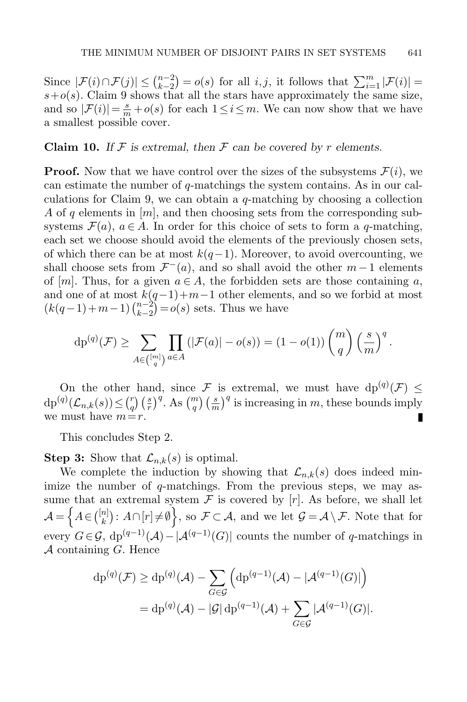Since  $|\mathcal{F}(i) \cap \mathcal{F}(j)| \leq {n-2 \choose k-2}$  $\binom{n-2}{k-2} = o(s)$  for all *i, j*, it follows that  $\sum_{i=1}^{m} |\mathcal{F}(i)| =$  $s+o(s)$ . Claim [9](#page-16-1) shows that all the stars have approximately the same size, and so  $|\mathcal{F}(i)| = \frac{s}{m} + o(s)$  for each  $1 \leq i \leq m$ . We can now show that we have a smallest possible cover.

**Claim 10.** If  $\mathcal F$  is extremal, then  $\mathcal F$  can be covered by r elements.

**Proof.** Now that we have control over the sizes of the subsystems  $\mathcal{F}(i)$ , we can estimate the number of q-matchings the system contains. As in our cal-culations for Claim [9,](#page-16-1) we can obtain a  $q$ -matching by choosing a collection A of q elements in  $[m]$ , and then choosing sets from the corresponding subsystems  $\mathcal{F}(a), a \in A$ . In order for this choice of sets to form a q-matching, each set we choose should avoid the elements of the previously chosen sets, of which there can be at most  $k(q-1)$ . Moreover, to avoid overcounting, we shall choose sets from  $\mathcal{F}^{-}(a)$ , and so shall avoid the other  $m-1$  elements of [m]. Thus, for a given  $a \in A$ , the forbidden sets are those containing a, and one of at most  $k(q-1)+m-1$  other elements, and so we forbid at most  $(k(q-1)+m-1)$  $\binom{n-2}{k-2}$  $\binom{n-2}{k-2} = o(s)$  sets. Thus we have

$$
\mathrm{dp}^{(q)}(\mathcal{F}) \ge \sum_{A \in \binom{[m]}{q}} \prod_{a \in A} \left( |\mathcal{F}(a)| - o(s) \right) = (1 - o(1)) \binom{m}{q} \left( \frac{s}{m} \right)^q.
$$

On the other hand, since F is extremal, we must have  $dp^{(q)}(\mathcal{F}) \leq$  $\binom{r}{q}$  $\left(\frac{s}{r}\right)^q$ . As  $\binom{m}{q}$   $\left(\frac{s}{m}\right)^q$  is increasing in m, these bounds imply  $dp^{(q)}(\mathcal{L}_{n,k}(s)) \leq {r \choose q}$ we must have  $m=r$ . П

This concludes Step 2.

**Step 3:** Show that  $\mathcal{L}_{n,k}(s)$  is optimal.

We complete the induction by showing that  $\mathcal{L}_{n,k}(s)$  does indeed minimize the number of q-matchings. From the previous steps, we may assume that an extremal system  $\mathcal F$  is covered by  $[r]$ . As before, we shall let  $\mathcal{A} = \left\{ A \in \binom{[n]}{k} \right\}$  $\mathcal{L}^{(n)}_k$ :  $A\cap [r]\neq \emptyset$ , so  $\mathcal{F}\subset \mathcal{A}$ , and we let  $\mathcal{G}=\mathcal{A}\setminus \mathcal{F}$ . Note that for every  $G \in \mathcal{G}$ ,  $dp^{(q-1)}(\mathcal{A}) - |\mathcal{A}^{(q-1)}(G)|$  counts the number of q-matchings in  $\mathcal A$  containing  $G$ . Hence

$$
dp^{(q)}(\mathcal{F}) \ge dp^{(q)}(\mathcal{A}) - \sum_{G \in \mathcal{G}} \left( dp^{(q-1)}(\mathcal{A}) - |\mathcal{A}^{(q-1)}(G)| \right)
$$
  
=  $dp^{(q)}(\mathcal{A}) - |\mathcal{G}| dp^{(q-1)}(\mathcal{A}) + \sum_{G \in \mathcal{G}} |\mathcal{A}^{(q-1)}(G)|.$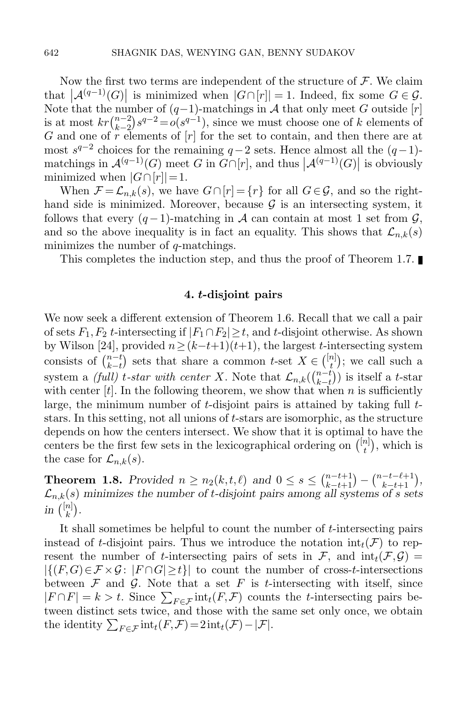Now the first two terms are independent of the structure of  $\mathcal F$ . We claim that  $\left|\mathcal{A}^{(q-1)}(G)\right|$  is minimized when  $|G\cap [r]| = 1$ . Indeed, fix some  $G \in \mathcal{G}$ . Note that the number of  $(q-1)$ -matchings in A that only meet G outside [r] is at most  $krbinom{n-2}{k-2}$  $\binom{n-2}{k-2} s^{q-2} = o(s^{q-1}),$  since we must choose one of k elements of G and one of  $\overline{r}$  elements of  $[r]$  for the set to contain, and then there are at most  $s^{q-2}$  choices for the remaining  $q-2$  sets. Hence almost all the  $(q-1)$ matchings in  $\mathcal{A}^{(q-1)}(G)$  meet G in  $G \cap [r]$ , and thus  $|\mathcal{A}^{(q-1)}(G)|$  is obviously minimized when  $|G \cap [r]| = 1$ .

When  $\mathcal{F} = \mathcal{L}_{n,k}(s)$ , we have  $G \cap [r] = \{r\}$  for all  $G \in \mathcal{G}$ , and so the righthand side is minimized. Moreover, because  $\mathcal G$  is an intersecting system, it follows that every  $(q-1)$ -matching in A can contain at most 1 set from  $\mathcal{G}$ , and so the above inequality is in fact an equality. This shows that  $\mathcal{L}_{n,k}(s)$ minimizes the number of q-matchings.

This completes the induction step, and thus the proof of Theorem [1.7.](#page-4-2)

## 4. t-disjoint pairs

<span id="page-19-0"></span>We now seek a different extension of Theorem [1.6.](#page-4-1) Recall that we call a pair of sets  $F_1, F_2$  t-intersecting if  $|F_1 \cap F_2| \geq t$ , and t-disjoint otherwise. As shown by Wilson [\[24\]](#page-37-12), provided  $n \ge (k-t+1)(t+1)$ , the largest t-intersecting system consists of  $\binom{n-t}{k-t}$  $_{k-t}^{n-t}$ ) sets that share a common t-set  $X \in \binom{[n]}{t}$  $\binom{n}{t}$ ; we call such a system a *(full)* t-star with center X. Note that  $\mathcal{L}_{n,k}$   $\binom{n-t}{k-t}$  $\binom{n-t}{k-t}$ ) is itself a t-star with center  $[t]$ . In the following theorem, we show that when n is sufficiently large, the minimum number of t-disjoint pairs is attained by taking full tstars. In this setting, not all unions of t-stars are isomorphic, as the structure depends on how the centers intersect. We show that it is optimal to have the centers be the first few sets in the lexicographical ordering on  $\binom{[n]}{t}$  $\binom{n}{t}$ , which is the case for  $\mathcal{L}_{n,k}(s)$ .

**Theorem 1.8.** Provided  $n \ge n_2(k, t, \ell)$  and  $0 \le s \le \binom{n-t+1}{k-t+1} - \binom{n-t-\ell+1}{k-t+1}$ ,  $\mathcal{L}_{n,k}(s)$  minimizes the number of t-disjoint pairs among all systems of s sets in  $\binom{[n]}{k}$  $\binom{n}{k}$ .

It shall sometimes be helpful to count the number of t-intersecting pairs instead of t-disjoint pairs. Thus we introduce the notation  $int_t(\mathcal{F})$  to represent the number of t-intersecting pairs of sets in  $\mathcal{F}$ , and  $\text{int}_t(\mathcal{F}, \mathcal{G})$  $|\{(F,G)\in\mathcal{F}\times\mathcal{G}:|F\cap G|\geq t\}|$  to count the number of cross-t-intersections between  $\mathcal F$  and  $\mathcal G$ . Note that a set  $F$  is t-intersecting with itself, since  $|F \cap F| = k > t$ . Since  $\sum_{F \in \mathcal{F}} \text{int}_t(F, \mathcal{F})$  counts the t-intersecting pairs between distinct sets twice, and those with the same set only once, we obtain the identity  $\sum_{F \in \mathcal{F}} \text{int}_t(F,\mathcal{F}) = 2 \text{int}_t(\mathcal{F}) - |\mathcal{F}|.$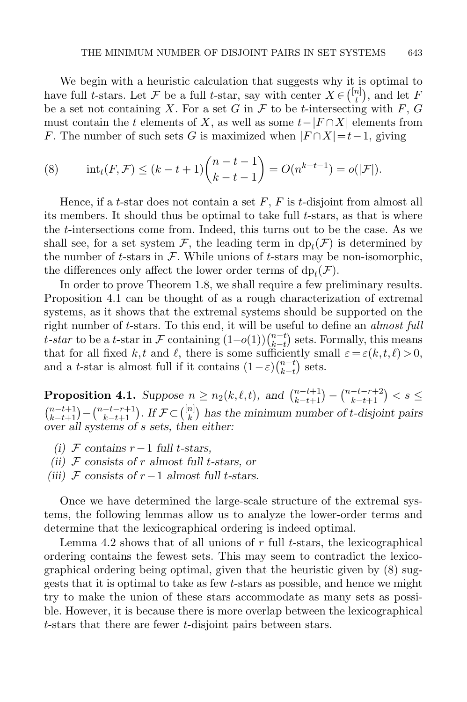We begin with a heuristic calculation that suggests why it is optimal to have full t-stars. Let F be a full t-star, say with center  $X \in \binom{[n]}{t}$  $\binom{n}{t}$ , and let F be a set not containing X. For a set G in  $\mathcal F$  to be t-intersecting with  $F, G$ must contain the t elements of X, as well as some  $t-|F \cap X|$  elements from F. The number of such sets G is maximized when  $|F \cap X| = t-1$ , giving

<span id="page-20-2"></span>(8) 
$$
\text{int}_{t}(F,\mathcal{F}) \leq (k-t+1)\binom{n-t-1}{k-t-1} = O(n^{k-t-1}) = o(|\mathcal{F}|).
$$

Hence, if a t-star does not contain a set  $F$ ,  $F$  is t-disjoint from almost all its members. It should thus be optimal to take full t-stars, as that is where the t-intersections come from. Indeed, this turns out to be the case. As we shall see, for a set system  $\mathcal{F}$ , the leading term in  $dp_t(\mathcal{F})$  is determined by the number of t-stars in  $\mathcal F$ . While unions of t-stars may be non-isomorphic, the differences only affect the lower order terms of  $dp_t(\mathcal{F})$ .

In order to prove Theorem [1.8,](#page-5-0) we shall require a few preliminary results. Proposition [4.1](#page-20-0) can be thought of as a rough characterization of extremal systems, as it shows that the extremal systems should be supported on the right number of t-stars. To this end, it will be useful to define an almost full t-star to be a t-star in F containing  $(1-o(1))\binom{n-t}{k-t}$  $_{k-t}^{n-t}$ ) sets. Formally, this means that for all fixed k, t and l, there is some sufficiently small  $\varepsilon = \varepsilon(k, t, \ell) > 0$ , and a t-star is almost full if it contains  $(1-\varepsilon) \binom{n-t}{k-t}$  $\binom{n-t}{k-t}$  sets.

<span id="page-20-0"></span>**Proposition 4.1.** Suppose  $n \ge n_2(k, \ell, t)$ , and  $\binom{n-t+1}{k-t+1} - \binom{n-t-r+2}{k-t+1} < s \le$  $\binom{n-t+1}{k-t+1} - \binom{n-t-r+1}{k-t+1}$ . If  $\mathcal{F} \subset \binom{[n]}{k}$  $\binom{n}{k}$  has the minimum number of *t*-disjoint pairs over all systems of s sets, then either:

- (i)  $\mathcal F$  contains  $r-1$  full t-stars,
- (ii)  $\mathcal F$  consists of r almost full t-stars, or
- (iii)  $\mathcal F$  consists of  $r-1$  almost full t-stars.

Once we have determined the large-scale structure of the extremal systems, the following lemmas allow us to analyze the lower-order terms and determine that the lexicographical ordering is indeed optimal.

<span id="page-20-1"></span>Lemma [4.2](#page-20-1) shows that of all unions of  $r$  full  $t$ -stars, the lexicographical ordering contains the fewest sets. This may seem to contradict the lexicographical ordering being optimal, given that the heuristic given by [\(8\)](#page-20-2) suggests that it is optimal to take as few t-stars as possible, and hence we might try to make the union of these stars accommodate as many sets as possible. However, it is because there is more overlap between the lexicographical t-stars that there are fewer t-disjoint pairs between stars.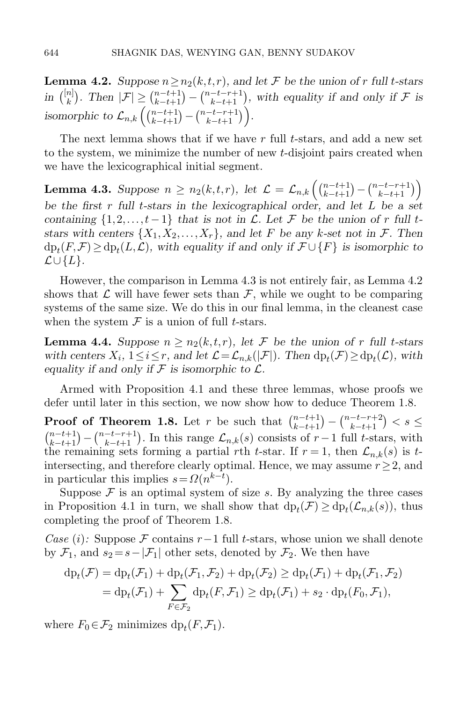**Lemma 4.2.** Suppose  $n \ge n_2(k,t,r)$ , and let F be the union of r full t-stars in  $\binom{[n]}{k}$  $\binom{n}{k}$ . Then  $|\mathcal{F}| \geq \binom{n-t+1}{k-t+1} - \binom{n-t-r+1}{k-t+1}$ , with equality if and only if  $\mathcal{F}$  is isomorphic to  $\mathcal{L}_{n,k}\left(\binom{n-t+1}{k-t+1}-\binom{n-t-r+1}{k-t+1}\right)$ .

The next lemma shows that if we have  $r$  full  $t$ -stars, and add a new set to the system, we minimize the number of new t-disjoint pairs created when we have the lexicographical initial segment.

<span id="page-21-0"></span>Lemma 4.3. Suppose  $n \ge n_2(k,t,r)$ , let  $\mathcal{L} = \mathcal{L}_{n,k} \left( \binom{n-t+1}{k-t+1} - \binom{n-t-r+1}{k-t+1} \right)$ be the first  $r$  full t-stars in the lexicographical order, and let  $L$  be a set containing  $\{1,2,\ldots,t-1\}$  that is not in  $\mathcal L$ . Let  $\mathcal F$  be the union of r full tstars with centers  $\{X_1, X_2, \ldots, X_r\}$ , and let F be any k-set not in F. Then  $d p_t(F, \mathcal{F}) \ge d p_t(L, \mathcal{L})$ , with equality if and only if  $\mathcal{F} \cup \{F\}$  is isomorphic to  $\mathcal{L}\cup\{L\}.$ 

However, the comparison in Lemma [4.3](#page-21-0) is not entirely fair, as Lemma [4.2](#page-20-1) shows that  $\mathcal L$  will have fewer sets than  $\mathcal F$ , while we ought to be comparing systems of the same size. We do this in our final lemma, in the cleanest case when the system  $\mathcal F$  is a union of full *t*-stars.

<span id="page-21-1"></span>**Lemma 4.4.** Suppose  $n \ge n_2(k,t,r)$ , let F be the union of r full t-stars with centers  $X_i$ ,  $1 \le i \le r$ , and let  $\mathcal{L} = \mathcal{L}_{n,k}(|\mathcal{F}|)$ . Then  $dp_t(\mathcal{F}) \ge dp_t(\mathcal{L})$ , with equality if and only if  $\mathcal F$  is isomorphic to  $\mathcal L$ .

Armed with Proposition [4.1](#page-20-0) and these three lemmas, whose proofs we defer until later in this section, we now show how to deduce Theorem [1.8.](#page-5-0)

**Proof of Theorem [1.8.](#page-5-0)** Let r be such that  $\binom{n-t+1}{k-t+1} - \binom{n-t-r+2}{k-t+1} < s \leq$  $\binom{n-t+1}{k-t+1} - \binom{n-t-r+1}{k-t+1}$ . In this range  $\mathcal{L}_{n,k}(s)$  consists of  $r-1$  full t-stars, with the remaining sets forming a partial rth t-star. If  $r=1$ , then  $\mathcal{L}_{n,k}(s)$  is tintersecting, and therefore clearly optimal. Hence, we may assume  $r \geq 2$ , and in particular this implies  $s = \Omega(n^{k-t})$ .

Suppose  $\mathcal F$  is an optimal system of size s. By analyzing the three cases in Proposition [4.1](#page-20-0) in turn, we shall show that  $dp_t(\mathcal{F}) \ge dp_t(\mathcal{L}_{n,k}(s))$ , thus completing the proof of Theorem [1.8.](#page-5-0)

Case (i): Suppose F contains r -1 full t-stars, whose union we shall denote by  $\mathcal{F}_1$ , and  $s_2 = s - |\mathcal{F}_1|$  other sets, denoted by  $\mathcal{F}_2$ . We then have

$$
\begin{aligned} \mathrm{dp}_t(\mathcal{F}) &= \mathrm{dp}_t(\mathcal{F}_1) + \mathrm{dp}_t(\mathcal{F}_1, \mathcal{F}_2) + \mathrm{dp}_t(\mathcal{F}_2) \ge \mathrm{dp}_t(\mathcal{F}_1) + \mathrm{dp}_t(\mathcal{F}_1, \mathcal{F}_2) \\ &= \mathrm{dp}_t(\mathcal{F}_1) + \sum_{F \in \mathcal{F}_2} \mathrm{dp}_t(F, \mathcal{F}_1) \ge \mathrm{dp}_t(\mathcal{F}_1) + s_2 \cdot \mathrm{dp}_t(F_0, \mathcal{F}_1), \end{aligned}
$$

where  $F_0 \in \mathcal{F}_2$  minimizes  $dp_t(F, \mathcal{F}_1)$ .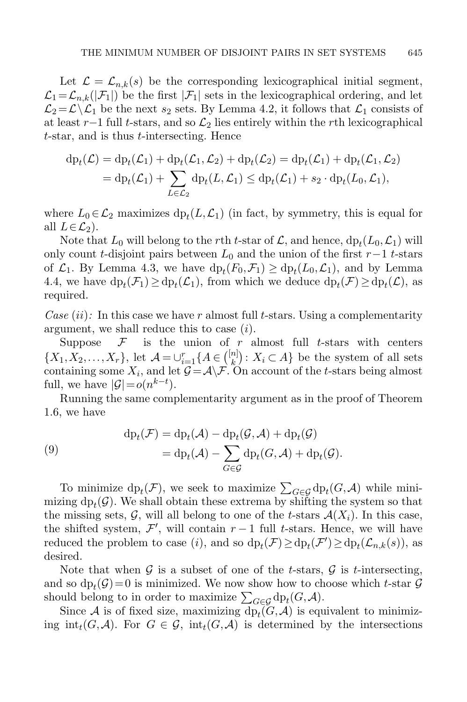Let  $\mathcal{L} = \mathcal{L}_{n,k}(s)$  be the corresponding lexicographical initial segment,  $\mathcal{L}_1 = \mathcal{L}_{n,k}(|\mathcal{F}_1|)$  be the first  $|\mathcal{F}_1|$  sets in the lexicographical ordering, and let  $\mathcal{L}_2 = \mathcal{L} \backslash \mathcal{L}_1$  be the next  $s_2$  sets. By Lemma [4.2,](#page-20-1) it follows that  $\mathcal{L}_1$  consists of at least r−1 full t-stars, and so  $\mathcal{L}_2$  lies entirely within the rth lexicographical t-star, and is thus t-intersecting. Hence

$$
\mathrm{dp}_t(\mathcal{L}) = \mathrm{dp}_t(\mathcal{L}_1) + \mathrm{dp}_t(\mathcal{L}_1, \mathcal{L}_2) + \mathrm{dp}_t(\mathcal{L}_2) = \mathrm{dp}_t(\mathcal{L}_1) + \mathrm{dp}_t(\mathcal{L}_1, \mathcal{L}_2)
$$
  
= 
$$
\mathrm{dp}_t(\mathcal{L}_1) + \sum_{L \in \mathcal{L}_2} \mathrm{dp}_t(L, \mathcal{L}_1) \leq \mathrm{dp}_t(\mathcal{L}_1) + s_2 \cdot \mathrm{dp}_t(L_0, \mathcal{L}_1),
$$

where  $L_0 \in \mathcal{L}_2$  maximizes  $dp_t(L, \mathcal{L}_1)$  (in fact, by symmetry, this is equal for all  $L \in \mathcal{L}_2$ ).

Note that  $L_0$  will belong to the rth t-star of  $\mathcal{L}$ , and hence,  $dp_t(L_0, \mathcal{L}_1)$  will only count t-disjoint pairs between  $L_0$  and the union of the first  $r-1$  t-stars of  $\mathcal{L}_1$ . By Lemma [4.3,](#page-21-0) we have  $dp_t(F_0, \mathcal{F}_1) \ge dp_t(L_0, \mathcal{L}_1)$ , and by Lemma [4.4,](#page-21-1) we have  $dp_t(\mathcal{F}_1) \ge dp_t(\mathcal{L}_1)$ , from which we deduce  $dp_t(\mathcal{F}) \ge dp_t(\mathcal{L})$ , as required.

Case  $(ii)$ : In this case we have r almost full t-stars. Using a complementarity argument, we shall reduce this to case  $(i)$ .

Suppose  $\mathcal F$  is the union of r almost full t-stars with centers  $\{X_1, X_2, \ldots, X_r\}, \text{ let } \mathcal{A} = \bigcup_{i=1}^r \{A \in {[n] \choose k} \}$  $\binom{n}{k}$ :  $X_i \subset A$  be the system of all sets containing some  $X_i$ , and let  $\mathcal{G} = \mathcal{A} \backslash \mathcal{F}$ . On account of the t-stars being almost full, we have  $|\mathcal{G}| = o(n^{k-t}).$ 

Running the same complementarity argument as in the proof of Theorem [1.6,](#page-4-1) we have

<span id="page-22-0"></span>(9) 
$$
\mathrm{dp}_t(\mathcal{F}) = \mathrm{dp}_t(\mathcal{A}) - \mathrm{dp}_t(\mathcal{G}, \mathcal{A}) + \mathrm{dp}_t(\mathcal{G})
$$

$$
= \mathrm{dp}_t(\mathcal{A}) - \sum_{G \in \mathcal{G}} \mathrm{dp}_t(G, \mathcal{A}) + \mathrm{dp}_t(\mathcal{G}).
$$

To minimize  $dp_t(\mathcal{F})$ , we seek to maximize  $\sum_{G \in \mathcal{G}} dp_t(G, \mathcal{A})$  while minimizing  $dp_t(\mathcal{G})$ . We shall obtain these extrema by shifting the system so that the missing sets,  $\mathcal{G}$ , will all belong to one of the t-stars  $\mathcal{A}(X_i)$ . In this case, the shifted system,  $\mathcal{F}'$ , will contain  $r-1$  full t-stars. Hence, we will have reduced the problem to case (*i*), and so  $dp_t(\mathcal{F}) \ge dp_t(\mathcal{F}') \ge dp_t(\mathcal{L}_{n,k}(s))$ , as desired.

Note that when  $\mathcal G$  is a subset of one of the t-stars,  $\mathcal G$  is t-intersecting, and so  $dp_t(\mathcal{G})=0$  is minimized. We now show how to choose which t-star  $\mathcal G$ should belong to in order to maximize  $\sum_{G \in \mathcal{G}} dp_t(G, \mathcal{A})$ .

Since A is of fixed size, maximizing  $dp_t(G, \mathcal{A})$  is equivalent to minimizing  $int_t(G,\mathcal{A})$ . For  $G \in \mathcal{G}$ ,  $int_t(G,\mathcal{A})$  is determined by the intersections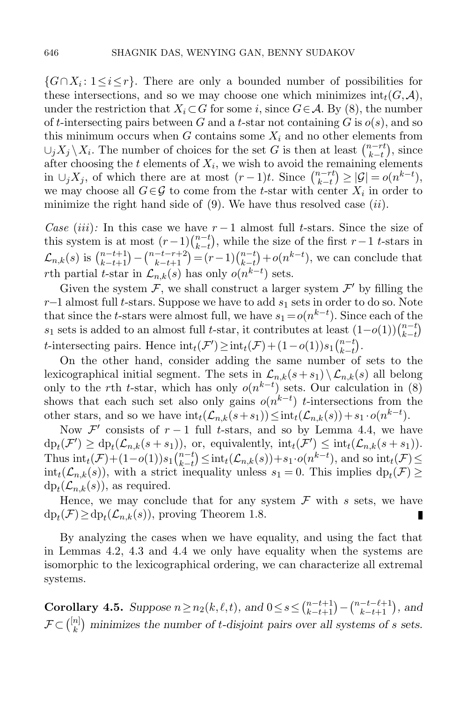$\{G \cap X_i : 1 \leq i \leq r\}$ . There are only a bounded number of possibilities for these intersections, and so we may choose one which minimizes  $int_t(G, \mathcal{A})$ , under the restriction that  $X_i \subset G$  for some i, since  $G \in \mathcal{A}$ . By [\(8\)](#page-20-2), the number of t-intersecting pairs between G and a t-star not containing G is  $o(s)$ , and so this minimum occurs when G contains some  $X_i$  and no other elements from  $\cup_j X_j \setminus X_i$ . The number of choices for the set G is then at least  $\binom{n-rt}{k-t}$  $_{k-t}^{n-rt}$ , since after choosing the  $t$  elements of  $X_i$ , we wish to avoid the remaining elements in  $\cup_j X_j$ , of which there are at most  $(r-1)t$ . Since  $\binom{n-rt}{k-t}$  $\left| \begin{matrix} n-rt \\ k-t \end{matrix} \right| \geq \left| \mathcal{G} \right| = o(n^{k-t}),$ we may choose all  $G \in \mathcal{G}$  to come from the t-star with center  $X_i$  in order to minimize the right hand side of  $(9)$ . We have thus resolved case  $(ii)$ .

Case (iii): In this case we have  $r-1$  almost full t-stars. Since the size of this system is at most  $(r-1)\binom{n-t}{k-t}$  $_{k-t}^{n-t}$ , while the size of the first  $r-1$  t-stars in  $\mathcal{L}_{n,k}(s)$  is  $\binom{n-t+1}{k-t+1} - \binom{n-t-r+2}{k-t+1} = (r-1)\binom{n-t}{k-t}$  $_{k-t}^{n-t}$  +  $o(n^{k-t})$ , we can conclude that rth partial t-star in  $\mathcal{L}_{n,k}(s)$  has only  $o(n^{k-t})$  sets.

Given the system  $\mathcal{F}$ , we shall construct a larger system  $\mathcal{F}'$  by filling the  $r-1$  almost full t-stars. Suppose we have to add  $s_1$  sets in order to do so. Note that since the t-stars were almost full, we have  $s_1 = o(n^{k-t})$ . Since each of the s<sub>1</sub> sets is added to an almost full t-star, it contributes at least  $(1-o(1))\binom{n-t}{k-t}$  $\binom{n-t}{k-t}$ t-intersecting pairs. Hence  $\mathrm{int}_t(\mathcal{F}') \geq \mathrm{int}_t(\mathcal{F}) + (1 - o(1))s_1\binom{n-t}{k-t}$  $_{k-t}^{n-t}$ ).

On the other hand, consider adding the same number of sets to the lexicographical initial segment. The sets in  $\mathcal{L}_{n,k}(s+s_1) \setminus \mathcal{L}_{n,k}(s)$  all belong only to the rth t-star, which has only  $o(n^{k-t})$  sets. Our calculation in [\(8\)](#page-20-2) shows that each such set also only gains  $o(n^{k-t})$  t-intersections from the other stars, and so we have  $\text{int}_t(\mathcal{L}_{n,k}(s+s_1)) \leq \text{int}_t(\mathcal{L}_{n,k}(s)) + s_1 \cdot o(n^{k-t}).$ 

Now  $\mathcal{F}'$  consists of  $r-1$  full t-stars, and so by Lemma [4.4,](#page-21-1) we have  $dp_t(\mathcal{F}') \ge dp_t(\mathcal{L}_{n,k}(s+s_1)), \text{ or, equivalently, } int_t(\mathcal{F}') \le int_t(\mathcal{L}_{n,k}(s+s_1)).$ Thus  $\mathrm{int}_t(\mathcal{F}) + (1 - o(1))s_1\binom{n-t}{k-t}$  $\sum_{k=t}^{n-t} \leq \text{int}_t(\mathcal{L}_{n,k}(s)) + s_1 \cdot o(n^{k-t}),$  and so  $\text{int}_t(\mathcal{F}) \leq$  $int_t(\mathcal{L}_{n,k}(s))$ , with a strict inequality unless  $s_1 = 0$ . This implies  $dp_t(\mathcal{F}) \ge$  $dp_t(\mathcal{L}_{n,k}(s))$ , as required.

Hence, we may conclude that for any system  $\mathcal F$  with s sets, we have  $dp_t(\mathcal{F}) \ge dp_t(\mathcal{L}_{n,k}(s))$ , proving Theorem [1.8.](#page-5-0)

By analyzing the cases when we have equality, and using the fact that in Lemmas [4.2,](#page-20-1) [4.3](#page-21-0) and [4.4](#page-21-1) we only have equality when the systems are isomorphic to the lexicographical ordering, we can characterize all extremal systems.

<span id="page-23-0"></span>**Corollary 4.5.** Suppose  $n \ge n_2(k, \ell, t)$ , and  $0 \le s \le {n-t+1 \choose k-t+1} - {n-t-\ell+1 \choose k-t+1}$ , and  $\mathcal{F} \!\subset\! \binom{[n]}{k}$  $\binom{n}{k}$  minimizes the number of t-disjoint pairs over all systems of s sets.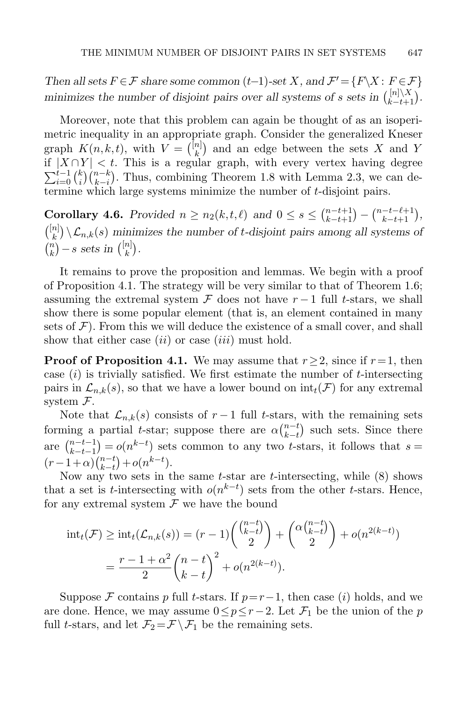Then all sets  $F \in \mathcal{F}$  share some common  $(t-1)$ -set X, and  $\mathcal{F}' = \{F \setminus X : F \in \mathcal{F}\}\$ minimizes the number of disjoint pairs over all systems of s sets in  $\binom{|n|\sqrt{X}}{k-t+1}$  $\binom{[n]\setminus\Lambda}{k-t+1}$ .

Moreover, note that this problem can again be thought of as an isoperimetric inequality in an appropriate graph. Consider the generalized Kneser graph  $K(n, k, t)$ , with  $V = \binom{[n]}{k}$  $\binom{n}{k}$  and an edge between the sets X and Y if  $|X \cap Y| < t$ . This is a regular graph, with every vertex having degree  $\sum_{i=0}^{t-1} \binom{k}{i}$  $\binom{n-k}{k-i}$ . Thus, combining Theorem [1.8](#page-5-0) with Lemma [2.3,](#page-12-2) we can determine which large systems minimize the number of t-disjoint pairs.

<span id="page-24-0"></span>**Corollary 4.6.** Provided  $n \ge n_2(k, t, \ell)$  and  $0 \le s \le \binom{n-t+1}{k-t+1} - \binom{n-t-\ell+1}{k-t+1}$ ,  $\binom{[n]}{k}$  $\mathcal{L}_{n,k}(s)$  minimizes the number of t-disjoint pairs among all systems of  $\binom{n}{k}$  $\binom{n}{k}$  – s sets in  $\binom{\lfloor n\rfloor}{k}$  $\binom{n}{k}$ .

It remains to prove the proposition and lemmas. We begin with a proof of Proposition [4.1.](#page-20-0) The strategy will be very similar to that of Theorem [1.6;](#page-4-1) assuming the extremal system  $\mathcal F$  does not have  $r-1$  full t-stars, we shall show there is some popular element (that is, an element contained in many sets of  $\mathcal{F}$ ). From this we will deduce the existence of a small cover, and shall show that either case  $(ii)$  or case  $(iii)$  must hold.

**Proof of Proposition [4.1.](#page-20-0)** We may assume that  $r > 2$ , since if  $r = 1$ , then case  $(i)$  is trivially satisfied. We first estimate the number of t-intersecting pairs in  $\mathcal{L}_{n,k}(s)$ , so that we have a lower bound on  $\text{int}_t(\mathcal{F})$  for any extremal system  $\mathcal{F}.$ 

Note that  $\mathcal{L}_{n,k}(s)$  consists of  $r-1$  full t-stars, with the remaining sets forming a partial t-star; suppose there are  $\alpha \binom{n-t}{k-t}$  $_{k-t}^{n-t}$  such sets. Since there are  $\binom{n-t-1}{k-t-1}$  $h_{k-t-1}^{n-t-1} = o(n^{k-t})$  sets common to any two t-stars, it follows that  $s =$  $(r-1+\alpha)\binom{n-t}{k-t}$  ${}_{k-t}^{n-t}$  +  $o(n^{k-t})$ .

Now any two sets in the same  $t$ -star are  $t$ -intersecting, while  $(8)$  shows that a set is t-intersecting with  $o(n^{k-t})$  sets from the other t-stars. Hence, for any extremal system  $\mathcal F$  we have the bound

$$
int_t(\mathcal{F}) \ge int_t(\mathcal{L}_{n,k}(s)) = (r-1) \binom{\binom{n-t}{k-t}}{2} + \binom{\alpha \binom{n-t}{k-t}}{2} + o(n^{2(k-t)})
$$

$$
= \frac{r-1+\alpha^2}{2} \binom{n-t}{k-t}^2 + o(n^{2(k-t)}).
$$

Suppose F contains p full t-stars. If  $p=r-1$ , then case (i) holds, and we are done. Hence, we may assume  $0 \leq p \leq r-2$ . Let  $\mathcal{F}_1$  be the union of the p full t-stars, and let  $\mathcal{F}_2 = \mathcal{F} \setminus \mathcal{F}_1$  be the remaining sets.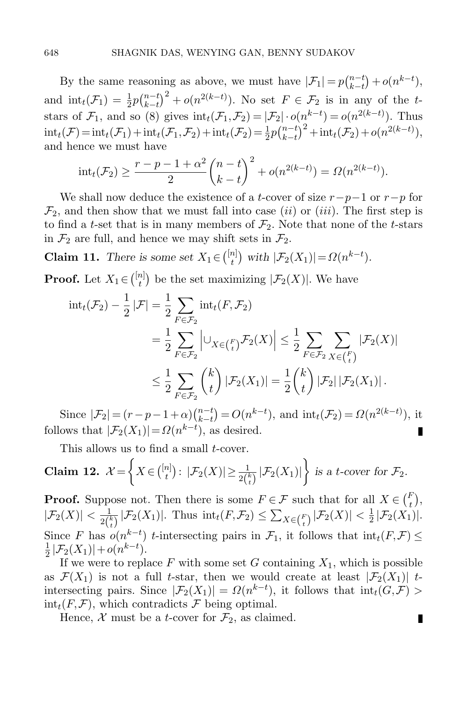By the same reasoning as above, we must have  $|\mathcal{F}_1| = p\binom{n-t}{k-t}$  $\binom{n-t}{k-t} + o(n^{k-t}),$ and  $\text{int}_t(\mathcal{F}_1) = \frac{1}{2}p\binom{n-t}{k-t}$  $\binom{n-t}{k-t}^2 + o(n^{2(k-t)})$ . No set  $F \in \mathcal{F}_2$  is in any of the tstars of  $\mathcal{F}_1$ , and so [\(8\)](#page-20-2) gives  $\mathrm{int}_t(\mathcal{F}_1,\mathcal{F}_2) = |\mathcal{F}_2| \cdot o(n^{k-t}) = o(n^{2(k-t)})$ . Thus  $\text{int}_t(\mathcal{F}) = \text{int}_t(\mathcal{F}_1) + \text{int}_t(\mathcal{F}_1, \mathcal{F}_2) + \text{int}_t(\mathcal{F}_2) = \frac{1}{2}p\binom{n-t}{k-t}$  $\int_{k-t}^{n-t} \int_{0}^{2} + \mathrm{int}_{t}(\mathcal{F}_{2}) + o(n^{2(k-t)}),$ and hence we must have

$$
int_t(\mathcal{F}_2) \ge \frac{r-p-1+\alpha^2}{2} {n-t \choose k-t}^2 + o(n^{2(k-t)}) = \Omega(n^{2(k-t)}).
$$

We shall now deduce the existence of a t-cover of size  $r-p-1$  or  $r-p$  for  $\mathcal{F}_2$ , and then show that we must fall into case *(ii)* or *(iii)*. The first step is to find a t-set that is in many members of  $\mathcal{F}_2$ . Note that none of the t-stars in  $\mathcal{F}_2$  are full, and hence we may shift sets in  $\mathcal{F}_2$ .

**Claim 11.** There is some set  $X_1 \in \binom{[n]}{t}$  $t^{n}$ ) with  $|\mathcal{F}_2(X_1)| = \Omega(n^{k-t}).$ 

**Proof.** Let  $X_1 \in \binom{[n]}{t}$  $\mathcal{F}_t^{(n)}$  be the set maximizing  $|\mathcal{F}_2(X)|$ . We have

$$
\begin{split} \mathrm{int}_{t}(\mathcal{F}_{2}) - \frac{1}{2} |\mathcal{F}| &= \frac{1}{2} \sum_{F \in \mathcal{F}_{2}} \mathrm{int}_{t}(F, \mathcal{F}_{2}) \\ &= \frac{1}{2} \sum_{F \in \mathcal{F}_{2}} \left| \cup_{X \in \binom{F}{t}} \mathcal{F}_{2}(X) \right| \leq \frac{1}{2} \sum_{F \in \mathcal{F}_{2}} \sum_{X \in \binom{F}{t}} |\mathcal{F}_{2}(X)| \\ &\leq \frac{1}{2} \sum_{F \in \mathcal{F}_{2}} \binom{k}{t} |\mathcal{F}_{2}(X_{1})| = \frac{1}{2} \binom{k}{t} |\mathcal{F}_{2}| |\mathcal{F}_{2}(X_{1})|. \end{split}
$$

Since  $|\mathcal{F}_2| = (r - p - 1 + \alpha) \binom{n - t}{k - t}$  ${}_{k-t}^{n-t}$ ) =  $O(n^{k-t})$ , and  $\text{int}_t(\mathcal{F}_2) = \Omega(n^{2(k-t)})$ , it follows that  $|\mathcal{F}_2(X_1)| = \Omega(n^{k-t})$ , as desired. П

This allows us to find a small *t*-cover.

**Claim 12.** 
$$
\mathcal{X} = \left\{ X \in \binom{[n]}{t} : |\mathcal{F}_2(X)| \geq \frac{1}{2\binom{k}{t}} |\mathcal{F}_2(X_1)| \right\}
$$
 is a *t*-cover for  $\mathcal{F}_2$ .

**Proof.** Suppose not. Then there is some  $F \in \mathcal{F}$  such that for all  $X \in \binom{F}{t}$ ,  $|\mathcal{F}_2(X)| < \frac{1}{2^{l}}$  $\frac{1}{2{k \choose t}} |\mathcal{F}_2(X_1)|$ . Thus  $\mathrm{int}_t(F,\mathcal{F}_2) \leq \sum_{X \in {F \choose t}} |\mathcal{F}_2(X)| < \frac{1}{2}$  $\frac{1}{2}|\mathcal{F}_2(X_1)|.$ Since F has  $o(n^{k-t})$  t-intersecting pairs in  $\mathcal{F}_1$ , it follows that  $\text{int}_t(F,\mathcal{F}) \leq$ 1  $\frac{1}{2}|\mathcal{F}_2(X_1)|+o(n^{k-t}).$ 

If we were to replace F with some set G containing  $X_1$ , which is possible as  $\mathcal{F}(X_1)$  is not a full t-star, then we would create at least  $|\mathcal{F}_2(X_1)|$  tintersecting pairs. Since  $|\mathcal{F}_2(X_1)| = \Omega(n^{k-t})$ , it follows that  $\text{int}_t(G,\mathcal{F}) >$  $\text{int}_t(F,\mathcal{F})$ , which contradicts  $\mathcal F$  being optimal.

П

Hence,  $\mathcal X$  must be a *t*-cover for  $\mathcal F_2$ , as claimed.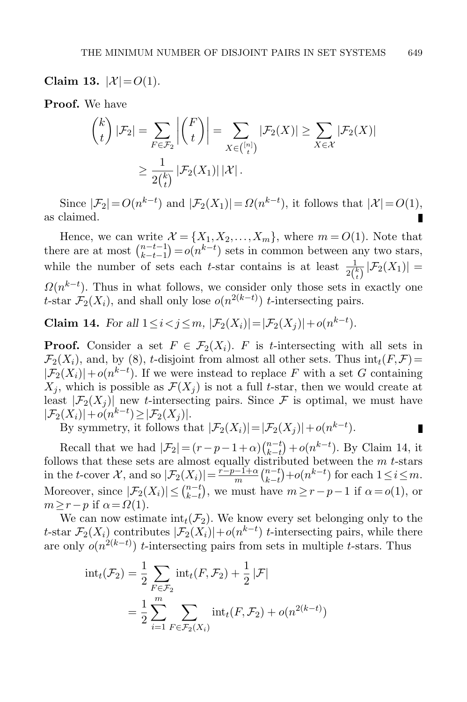Claim 13.  $|X| = O(1)$ .

Proof. We have

$$
\binom{k}{t} |\mathcal{F}_2| = \sum_{F \in \mathcal{F}_2} \left| \binom{F}{t} \right| = \sum_{X \in \binom{[n]}{t}} |\mathcal{F}_2(X)| \ge \sum_{X \in \mathcal{X}} |\mathcal{F}_2(X)|
$$

$$
\ge \frac{1}{2\binom{k}{t}} |\mathcal{F}_2(X_1)| |\mathcal{X}|.
$$

Since  $|\mathcal{F}_2| = O(n^{k-t})$  and  $|\mathcal{F}_2(X_1)| = \Omega(n^{k-t})$ , it follows that  $|\mathcal{X}| = O(1)$ , as claimed.

Hence, we can write  $\mathcal{X} = \{X_1, X_2, \ldots, X_m\}$ , where  $m = O(1)$ . Note that there are at most  $\binom{n-t-1}{k-t-1}$  $\binom{n-t-1}{k-t-1} = o(n^{k-t})$  sets in common between any two stars, while the number of sets each t-star contains is at least  $\frac{1}{2{k \choose t}}|\mathcal{F}_2(X_1)|=$  $\Omega(n^{k-t})$ . Thus in what follows, we consider only those sets in exactly one t-star  $\mathcal{F}_2(X_i)$ , and shall only lose  $o(n^{2(k-t)})$  t-intersecting pairs.

<span id="page-26-0"></span>**Claim 14.** For all  $1 \le i < j \le m$ ,  $|\mathcal{F}_2(X_i)| = |\mathcal{F}_2(X_j)| + o(n^{k-t})$ .

**Proof.** Consider a set  $F \in \mathcal{F}_2(X_i)$ . F is t-intersecting with all sets in  $\mathcal{F}_2(X_i)$ , and, by [\(8\)](#page-20-2), t-disjoint from almost all other sets. Thus  $\mathrm{int}_t(F,\mathcal{F})=$  $|\mathcal{F}_2(X_i)| + o(n^{k-t})$ . If we were instead to replace F with a set G containing  $X_i$ , which is possible as  $\mathcal{F}(X_i)$  is not a full t-star, then we would create at least  $|\mathcal{F}_2(X_i)|$  new t-intersecting pairs. Since  $\mathcal F$  is optimal, we must have  $|\mathcal{F}_2(X_i)|+o(n^{k-t})\geq |\mathcal{F}_2(X_j)|.$ 

By symmetry, it follows that  $|\mathcal{F}_2(X_i)| = |\mathcal{F}_2(X_j)| + o(n^{k-t}).$ П

Recall that we had  $|\mathcal{F}_2| = (r - p - 1 + \alpha) \binom{n-t}{k-t} + o(n^{k-t})$ . By Claim [14,](#page-26-0) it follows that these sets are almost equally distributed between the *m* t-stars in the t-cover  $\mathcal{X}$ , and so  $|\mathcal{F}_2(X_i)| = \frac{i-p-1+\alpha}{m}$  $\frac{n-1+\alpha}{m}\binom{n-t}{k-t}$  $_{k-t}^{n-t}$  +  $o(n^{k-t})$  for each  $1 \le i \le m$ . Moreover, since  $|\mathcal{F}_2(X_i)| \leq {n-t \choose k-t}$  $_{k-t}^{n-t}$ , we must have  $m \ge r-p-1$  if  $\alpha = o(1)$ , or  $m \geq r - p$  if  $\alpha = \Omega(1)$ .

We can now estimate  $\text{int}_t(\mathcal{F}_2)$ . We know every set belonging only to the t-star  $\mathcal{F}_2(X_i)$  contributes  $|\mathcal{F}_2(X_i)|+o(n^{k-t})$  t-intersecting pairs, while there are only  $o(n^{2(k-t)})$  t-intersecting pairs from sets in multiple t-stars. Thus

$$
\text{int}_{t}(\mathcal{F}_{2}) = \frac{1}{2} \sum_{F \in \mathcal{F}_{2}} \text{int}_{t}(F, \mathcal{F}_{2}) + \frac{1}{2} |\mathcal{F}|
$$

$$
= \frac{1}{2} \sum_{i=1}^{m} \sum_{F \in \mathcal{F}_{2}(X_{i})} \text{int}_{t}(F, \mathcal{F}_{2}) + o(n^{2(k-t)})
$$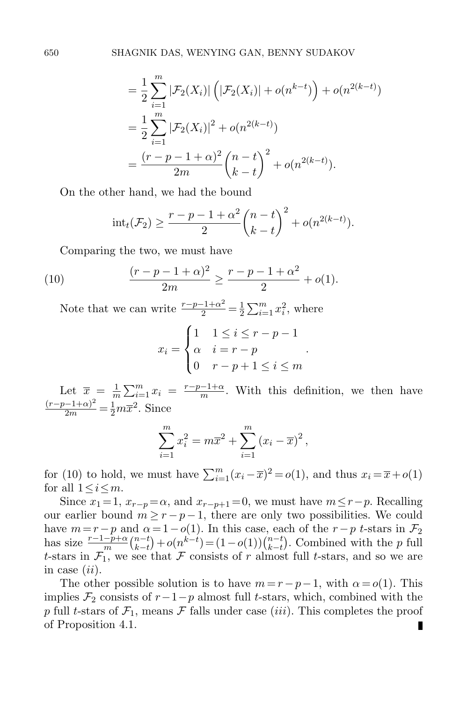$$
= \frac{1}{2} \sum_{i=1}^{m} |\mathcal{F}_2(X_i)| \left( |\mathcal{F}_2(X_i)| + o(n^{k-t}) \right) + o(n^{2(k-t)})
$$
  
= 
$$
\frac{1}{2} \sum_{i=1}^{m} |\mathcal{F}_2(X_i)|^2 + o(n^{2(k-t)})
$$
  
= 
$$
\frac{(r-p-1+\alpha)^2}{2m} {n-t \choose k-t}^2 + o(n^{2(k-t)}).
$$

On the other hand, we had the bound

<span id="page-27-0"></span>
$$
int_t(\mathcal{F}_2) \ge \frac{r-p-1+\alpha^2}{2} {n-t \choose k-t}^2 + o(n^{2(k-t)}).
$$

Comparing the two, we must have

(10) 
$$
\frac{(r-p-1+\alpha)^2}{2m} \ge \frac{r-p-1+\alpha^2}{2} + o(1).
$$

Note that we can write  $\frac{r-p-1+\alpha^2}{2} = \frac{1}{2}$  $\frac{1}{2} \sum_{i=1}^{m} x_i^2$ , where

$$
x_i = \begin{cases} 1 & 1 \le i \le r - p - 1 \\ \alpha & i = r - p \\ 0 & r - p + 1 \le i \le m \end{cases}
$$

.

Let  $\overline{x} = \frac{1}{n}$  $\frac{1}{m} \sum_{i=1}^{m} x_i = \frac{r-p-1+\alpha}{m}$  $\frac{-1+\alpha}{m}$ . With this definition, we then have  $\frac{(r-p-1+\alpha)^2}{2m} = \frac{1}{2}m\overline{x}^2$ . Since

$$
\sum_{i=1}^{m} x_i^2 = m\overline{x}^2 + \sum_{i=1}^{m} (x_i - \overline{x})^2,
$$

for [\(10\)](#page-27-0) to hold, we must have  $\sum_{i=1}^{m} (x_i - \overline{x})^2 = o(1)$ , and thus  $x_i = \overline{x} + o(1)$ for all  $1 \leq i \leq m$ .

Since  $x_1 = 1$ ,  $x_{r-p} = \alpha$ , and  $x_{r-p+1} = 0$ , we must have  $m \leq r-p$ . Recalling our earlier bound  $m \ge r - p - 1$ , there are only two possibilities. We could have  $m=r-p$  and  $\alpha=1-o(1)$ . In this case, each of the  $r-p$  t-stars in  $\mathcal{F}_2$ has size  $\frac{r-1-\tilde{p}+\alpha}{m} \binom{n-t}{k-t}$  $\binom{n-t}{k-t} + o(n^{k-t}) = (1 - o(1))\binom{n-t}{k-t}$  $_{k-t}^{n-t}$ ). Combined with the p full t-stars in  $\mathcal{F}_1$ , we see that  $\mathcal F$  consists of r almost full t-stars, and so we are in case  $(ii)$ .

The other possible solution is to have  $m = r - p - 1$ , with  $\alpha = o(1)$ . This implies  $\mathcal{F}_2$  consists of  $r-1-p$  almost full t-stars, which, combined with the p full t-stars of  $\mathcal{F}_1$ , means  $\mathcal F$  falls under case *(iii)*. This completes the proof of Proposition [4.1.](#page-20-0)П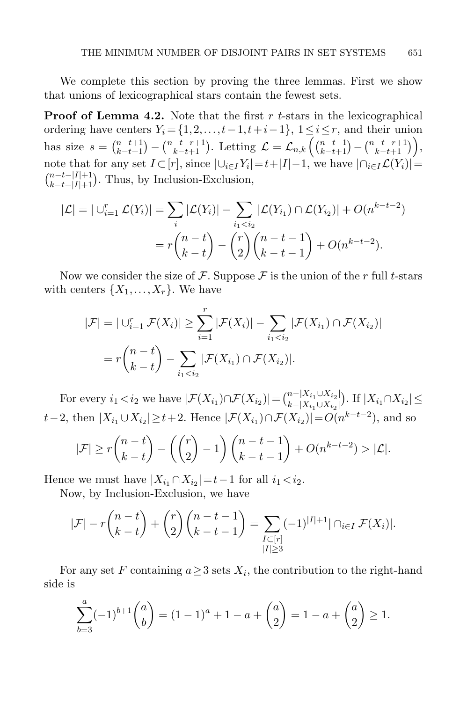We complete this section by proving the three lemmas. First we show that unions of lexicographical stars contain the fewest sets.

**Proof of Lemma [4.2.](#page-20-1)** Note that the first  $r$  t-stars in the lexicographical ordering have centers  $Y_i = \{1, 2, ..., t-1, t+i-1\}$ ,  $1 \le i \le r$ , and their union has size  $s = \binom{n-t+1}{k-t+1} - \binom{n-t-r+1}{k-t+1}$ . Letting  $\mathcal{L} = \mathcal{L}_{n,k} \left( \binom{n-t+1}{k-t+1} - \binom{n-t-r+1}{k-t+1} \right)$ , note that for any set  $I \subset [r]$ , since  $|\bigcup_{i \in I} Y_i| = t + |I| - 1$ , we have  $|\bigcap_{i \in I} \mathcal{L}(Y_i)| =$  $\binom{n-t-|I|+1}{k-t-|I|+1}$ . Thus, by Inclusion-Exclusion,

$$
|\mathcal{L}| = |\bigcup_{i=1}^r \mathcal{L}(Y_i)| = \sum_i |\mathcal{L}(Y_i)| - \sum_{i_1 < i_2} |\mathcal{L}(Y_{i_1}) \cap \mathcal{L}(Y_{i_2})| + O(n^{k-t-2})
$$
\n
$$
= r \binom{n-t}{k-t} - \binom{r}{2} \binom{n-t-1}{k-t-1} + O(n^{k-t-2}).
$$

Now we consider the size of F. Suppose F is the union of the r full t-stars with centers  $\{X_1,\ldots,X_r\}$ . We have

$$
|\mathcal{F}| = |\bigcup_{i=1}^r \mathcal{F}(X_i)| \ge \sum_{i=1}^r |\mathcal{F}(X_i)| - \sum_{i_1 < i_2} |\mathcal{F}(X_{i_1}) \cap \mathcal{F}(X_{i_2})|
$$
  
=  $r \binom{n-t}{k-t} - \sum_{i_1 < i_2} |\mathcal{F}(X_{i_1}) \cap \mathcal{F}(X_{i_2})|.$ 

For every  $i_1 < i_2$  we have  $|\mathcal{F}(X_{i_1}) \cap \mathcal{F}(X_{i_2})| = \binom{n-|X_{i_1} \cup X_{i_2}|}{k-|X_{i_1} \cup X_{i_2}|}$  $\lim_{k-|X_{i_1}\cup X_{i_2}|}$  If  $|X_{i_1}\cap X_{i_2}|\leq$  $t-2$ , then  $|X_{i_1} \cup X_{i_2}| \geq t+2$ . Hence  $|\mathcal{F}(X_{i_1}) \cap \mathcal{F}(X_{i_2})| = O(n^{k-t-2})$ , and so

$$
|\mathcal{F}| \ge r{n-t \choose k-t} - \left(\binom{r}{2} - 1\right) \binom{n-t-1}{k-t-1} + O(n^{k-t-2}) > |\mathcal{L}|.
$$

Hence we must have  $|X_{i_1} \cap X_{i_2}| = t-1$  for all  $i_1 < i_2$ .

Now, by Inclusion-Exclusion, we have

$$
|\mathcal{F}| - r{n-t \choose k-t} + {r \choose 2} {n-t-1 \choose k-t-1} = \sum_{\substack{I \subset [r] \\ |I| \ge 3}} (-1)^{|I|+1} |\cap_{i \in I} \mathcal{F}(X_i)|.
$$

For any set F containing  $a \geq 3$  sets  $X_i$ , the contribution to the right-hand side is

$$
\sum_{b=3}^{a} (-1)^{b+1} {a \choose b} = (1-1)^{a} + 1 - a + {a \choose 2} = 1 - a + {a \choose 2} \ge 1.
$$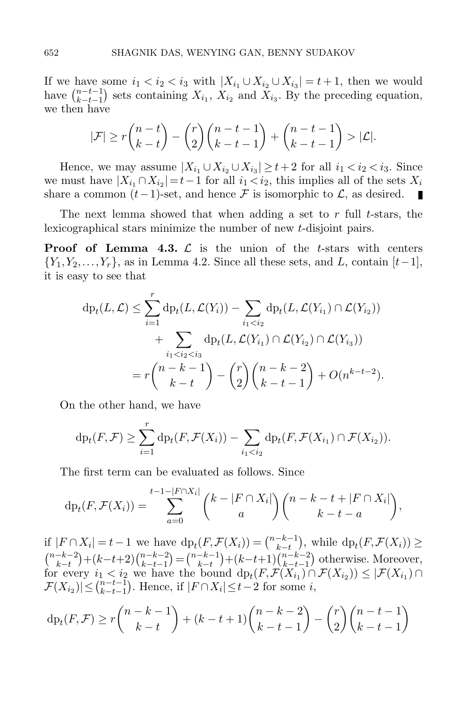If we have some  $i_1 < i_2 < i_3$  with  $|X_{i_1} \cup X_{i_2} \cup X_{i_3}| = t+1$ , then we would have  $\binom{n-t-1}{k-t-1}$  $\binom{n-t-1}{k-t-1}$  sets containing  $X_{i_1}$ ,  $X_{i_2}$  and  $X_{i_3}$ . By the preceding equation, we then have

$$
|\mathcal{F}| \ge r{n-t \choose k-t} - {r \choose 2}{n-t-1 \choose k-t-1} + {n-t-1 \choose k-t-1} > |\mathcal{L}|.
$$

Hence, we may assume  $|X_{i_1} \cup X_{i_2} \cup X_{i_3}| \geq t+2$  for all  $i_1 < i_2 < i_3$ . Since we must have  $|X_{i_1} \cap X_{i_2}| = t-1$  for all  $i_1 < i_2$ , this implies all of the sets  $X_i$ share a common  $(t-1)$ -set, and hence F is isomorphic to  $\mathcal{L}$ , as desired. П

The next lemma showed that when adding a set to  $r$  full  $t$ -stars, the lexicographical stars minimize the number of new t-disjoint pairs.

**Proof of Lemma [4.3.](#page-21-0)**  $\mathcal{L}$  is the union of the t-stars with centers  ${Y_1, Y_2,..., Y_r}$ , as in Lemma [4.2.](#page-20-1) Since all these sets, and L, contain  $[t-1]$ , it is easy to see that

$$
\mathrm{dp}_{t}(L, \mathcal{L}) \leq \sum_{i=1}^{r} \mathrm{dp}_{t}(L, \mathcal{L}(Y_{i})) - \sum_{i_{1} < i_{2}} \mathrm{dp}_{t}(L, \mathcal{L}(Y_{i_{1}}) \cap \mathcal{L}(Y_{i_{2}})) + \sum_{i_{1} < i_{2} < i_{3}} \mathrm{dp}_{t}(L, \mathcal{L}(Y_{i_{1}}) \cap \mathcal{L}(Y_{i_{2}}) \cap \mathcal{L}(Y_{i_{3}})) = r \binom{n-k-1}{k-t} - \binom{r}{2} \binom{n-k-2}{k-t-1} + O(n^{k-t-2}).
$$

On the other hand, we have

$$
\mathrm{dp}_t(F,\mathcal{F}) \geq \sum_{i=1}^r \mathrm{dp}_t(F,\mathcal{F}(X_i)) - \sum_{i_1 < i_2} \mathrm{dp}_t(F,\mathcal{F}(X_{i_1}) \cap \mathcal{F}(X_{i_2})).
$$

The first term can be evaluated as follows. Since

$$
\mathrm{dp}_t(F,\mathcal{F}(X_i))=\sum_{a=0}^{t-1-|F\cap X_i|}{\binom{k-|F\cap X_i|}{a}}{\binom{n-k-t+|F\cap X_i|}{k-t-a}},
$$

if  $|F \cap X_i| = t - 1$  we have  $dp_t(F, \mathcal{F}(X_i)) = \binom{n-k-1}{k-t}$  $\binom{-k-1}{k-t}$ , while  $dp_t(F, \mathcal{F}(X_i)) \geq$  $\binom{n-k-2}{k}$  $\binom{-k-2}{k-t} + (k-t+2) \binom{n-k-2}{k-t-1}$  $\binom{n-k-2}{k-t-1} = \binom{n-k-1}{k-t}$  $\binom{-k-1}{k-t} + (k-t+1) \binom{n-k-2}{k-t-1}$  $_{k-t-1}^{n-k-2}$  otherwise. Moreover, for every  $i_1 < i_2$  we have the bound  $dp_t(F, \mathcal{F}(X_{i_1}) \cap \mathcal{F}(X_{i_2})) \leq |\mathcal{F}(X_{i_1}) \cap$  $|\mathcal{F}(X_{i_2})| \leq {n-t-1 \choose k-t-1}$  $_{k-t-1}^{n-t-1}$ ). Hence, if  $|F \cap X_i| \leq t-2$  for some *i*,

$$
\mathrm{dp}_t(F, \mathcal{F}) \ge r \binom{n-k-1}{k-t} + (k-t+1) \binom{n-k-2}{k-t-1} - \binom{r}{2} \binom{n-t-1}{k-t-1}
$$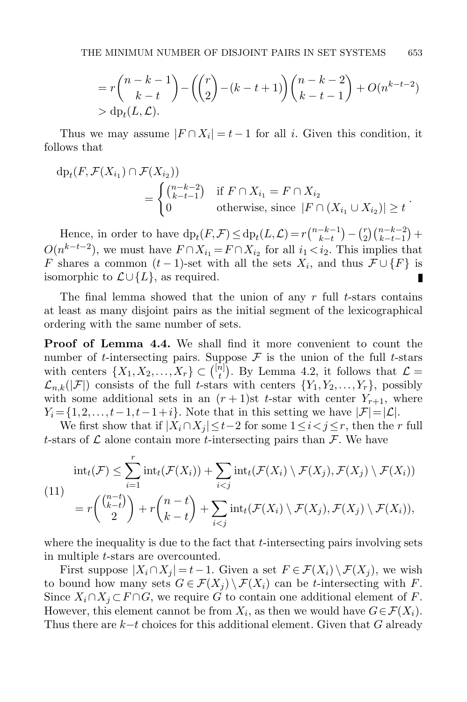$$
= r {n-k-1 \choose k-t} - {r \choose 2} - (k-t+1) {n-k-2 \choose k-t-1} + O(n^{k-t-2})
$$
  
> dp<sub>t</sub>(L, L).

Thus we may assume  $|F \cap X_i| = t - 1$  for all *i*. Given this condition, it follows that

$$
dp_t(F, \mathcal{F}(X_{i_1}) \cap \mathcal{F}(X_{i_2}))
$$
  
= 
$$
\begin{cases} {n-k-2 \choose k-t-1} & \text{if } F \cap X_{i_1} = F \cap X_{i_2} \\ 0 & \text{otherwise, since } |F \cap (X_{i_1} \cup X_{i_2})| \ge t \end{cases}
$$

Hence, in order to have  $dp_t(F,\mathcal{F}) \leq dp_t(L,\mathcal{L}) = r {n-k-1 \choose k-t}$  $\binom{-k-1}{k-t} - \binom{r}{2}$  $\binom{r}{2}\binom{n-k-2}{k-t-1} +$  $O(n^{k-t-2})$ , we must have  $F \cap X_{i_1} = F \cap X_{i_2}$  for all  $i_1 < i_2$ . This implies that F shares a common  $(t-1)$ -set with all the sets  $X_i$ , and thus  $\mathcal{F} \cup \{F\}$  is isomorphic to  $\mathcal{L} \cup \{L\}$ , as required. П

The final lemma showed that the union of any  $r$  full t-stars contains at least as many disjoint pairs as the initial segment of the lexicographical ordering with the same number of sets.

Proof of Lemma [4.4.](#page-21-1) We shall find it more convenient to count the number of t-intersecting pairs. Suppose  $\mathcal F$  is the union of the full t-stars with centers  $\{X_1, X_2, \ldots, X_r\} \subset \binom{[n]}{t}$  $\binom{n}{t}$ . By Lemma [4.2,](#page-20-1) it follows that  $\mathcal{L} =$  $\mathcal{L}_{n,k}(|\mathcal{F}|)$  consists of the full t-stars with centers  $\{Y_1, Y_2, \ldots, Y_r\}$ , possibly with some additional sets in an  $(r+1)$ st t-star with center  $Y_{r+1}$ , where  $Y_i = \{1, 2, \ldots, t-1, t-1+i\}.$  Note that in this setting we have  $|\mathcal{F}| = |\mathcal{L}|$ .

We first show that if  $|X_i \cap X_j| \leq t-2$  for some  $1 \leq i < j \leq r$ , then the r full t-stars of  $\mathcal L$  alone contain more t-intersecting pairs than  $\mathcal F$ . We have

<span id="page-30-0"></span>
$$
\text{int}_t(\mathcal{F}) \leq \sum_{i=1}^r \text{int}_t(\mathcal{F}(X_i)) + \sum_{i < j} \text{int}_t(\mathcal{F}(X_i) \setminus \mathcal{F}(X_j), \mathcal{F}(X_j) \setminus \mathcal{F}(X_i))
$$
\n
$$
= r \binom{\binom{n-t}{k-t}}{2} + r \binom{n-t}{k-t} + \sum_{i < j} \text{int}_t(\mathcal{F}(X_i) \setminus \mathcal{F}(X_j), \mathcal{F}(X_j) \setminus \mathcal{F}(X_i)),
$$

where the inequality is due to the fact that  $t$ -intersecting pairs involving sets in multiple t-stars are overcounted.

First suppose  $|X_i \cap X_j| = t-1$ . Given a set  $F \in \mathcal{F}(X_i) \setminus \mathcal{F}(X_j)$ , we wish to bound how many sets  $G \in \mathcal{F}(X_i) \setminus \mathcal{F}(X_i)$  can be t-intersecting with F. Since  $X_i \cap X_j \subset F \cap G$ , we require G to contain one additional element of F. However, this element cannot be from  $X_i$ , as then we would have  $G \in \mathcal{F}(X_i)$ . Thus there are  $k-t$  choices for this additional element. Given that G already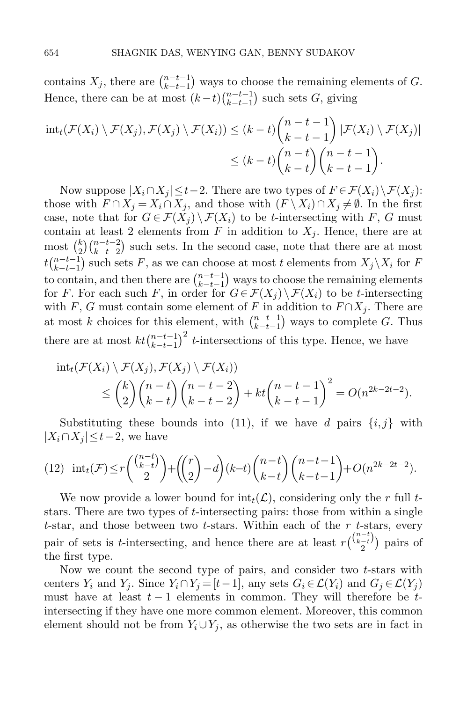contains  $X_j$ , there are  $\binom{n-t-1}{k-t-1}$  $\binom{n-t-1}{k-t-1}$  ways to choose the remaining elements of G. Hence, there can be at most  $(k-t)$  $\binom{n-t-1}{k-t-1}$  $_{k-t-1}^{n-t-1}$  such sets G, giving

$$
\mathrm{int}_t(\mathcal{F}(X_i)\setminus\mathcal{F}(X_j),\mathcal{F}(X_j)\setminus\mathcal{F}(X_i))\leq (k-t)\binom{n-t-1}{k-t-1}|\mathcal{F}(X_i)\setminus\mathcal{F}(X_j)|
$$
  

$$
\leq (k-t)\binom{n-t}{k-t}\binom{n-t-1}{k-t-1}.
$$

Now suppose  $|X_i \cap X_j| \leq t-2$ . There are two types of  $F \in \mathcal{F}(X_i) \backslash \mathcal{F}(X_i)$ : those with  $F \cap X_j = X_i \cap X_j$ , and those with  $(F \setminus X_i) \cap X_j \neq \emptyset$ . In the first case, note that for  $G \in \mathcal{F}(X_i) \setminus \mathcal{F}(X_i)$  to be t-intersecting with F, G must contain at least 2 elements from F in addition to  $X_j$ . Hence, there are at most  $\binom{k}{2}$  $\binom{k}{2}\binom{n-t-2}{k-t-2}$  such sets. In the second case, note that there are at most  $tbinom{n-t-1}{k-t-1}$  $_{k-t-1}^{n-t-1}$  such sets F, as we can choose at most t elements from  $X_j\setminus X_i$  for F to contain, and then there are  $\binom{n-t-1}{k-t-1}$  $\binom{n-t-1}{k-t-1}$  ways to choose the remaining elements for F. For each such F, in order for  $G \in \mathcal{F}(X_j) \setminus \mathcal{F}(X_i)$  to be t-intersecting with F, G must contain some element of F in addition to  $F \cap X_i$ . There are at most k choices for this element, with  $\binom{n-t-1}{k-t-1}$  $_{k-t-1}^{n-t-1}$  ways to complete G. Thus there are at most  $kt\binom{n-t-1}{k-t-1}$  $\binom{n-t-1}{k-t-1}^2$  t-intersections of this type. Hence, we have

$$
\mathrm{int}_t(\mathcal{F}(X_i)\setminus \mathcal{F}(X_j),\mathcal{F}(X_j)\setminus \mathcal{F}(X_i))\leq {k \choose 2}{n-t \choose k-t}{n-t-2 \choose k-t-2}+kt{n-t-1 \choose k-t-1}^2=O(n^{2k-2t-2}).
$$

Substituting these bounds into [\(11\)](#page-30-0), if we have d pairs  $\{i, j\}$  with  $|X_i \cap X_j| \leq t-2$ , we have

<span id="page-31-0"></span>(12) 
$$
int_t(\mathcal{F}) \le r {n-t \choose k-t} + {r \choose 2} - d(k-t){n-t \choose k-t} {n-t-1 \choose k-t} + O(n^{2k-2t-2}).
$$

We now provide a lower bound for  $\text{int}_t(\mathcal{L})$ , considering only the r full tstars. There are two types of t-intersecting pairs: those from within a single  $t$ -star, and those between two  $t$ -stars. Within each of the  $r$   $t$ -stars, every pair of sets is t-intersecting, and hence there are at least  $r\binom{\binom{n-t}{k-t}}{r}$  $\binom{(-t)}{2}$  pairs of the first type.

Now we count the second type of pairs, and consider two  $t$ -stars with centers  $Y_i$  and  $Y_j$ . Since  $Y_i \cap Y_j = [t-1]$ , any sets  $G_i \in \mathcal{L}(Y_i)$  and  $G_j \in \mathcal{L}(Y_j)$ must have at least  $t-1$  elements in common. They will therefore be  $t$ intersecting if they have one more common element. Moreover, this common element should not be from  $Y_i \cup Y_j$ , as otherwise the two sets are in fact in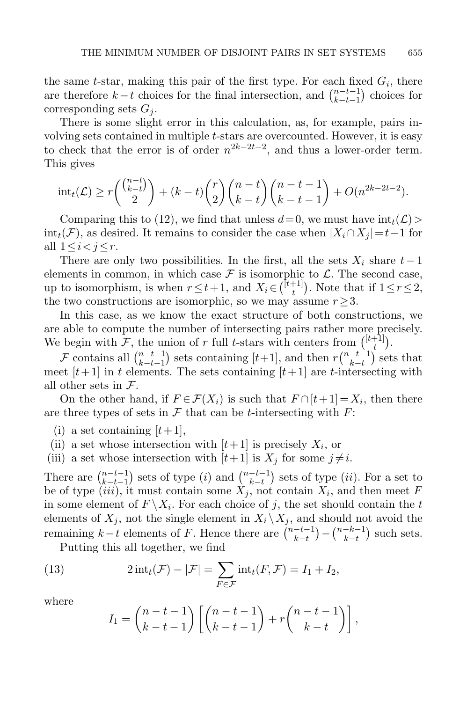the same t-star, making this pair of the first type. For each fixed  $G_i$ , there are therefore  $k-t$  choices for the final intersection, and  $\binom{n-t-1}{k-t-1}$  $\binom{n-t-1}{k-t-1}$  choices for corresponding sets  $G_i$ .

There is some slight error in this calculation, as, for example, pairs involving sets contained in multiple t-stars are overcounted. However, it is easy to check that the error is of order  $n^{2k-2t-2}$ , and thus a lower-order term. This gives

$$
int_t(\mathcal{L}) \ge r \binom{\binom{n-t}{k-t}}{2} + (k-t) \binom{r}{2} \binom{n-t}{k-t} \binom{n-t-1}{k-t-1} + O(n^{2k-2t-2}).
$$

Comparing this to [\(12\)](#page-31-0), we find that unless  $d=0$ , we must have  $\text{int}_t(\mathcal{L})>$  $int_t(\mathcal{F})$ , as desired. It remains to consider the case when  $|X_i \cap X_j| = t-1$  for all  $1 \leq i < j \leq r$ .

There are only two possibilities. In the first, all the sets  $X_i$  share  $t-1$ elements in common, in which case  $\mathcal F$  is isomorphic to  $\mathcal L$ . The second case, up to isomorphism, is when  $r \leq t+1$ , and  $X_i \in \binom{\lfloor t+1 \rfloor}{t}$  $\binom{+1}{t}$ . Note that if  $1 \leq r \leq 2$ , the two constructions are isomorphic, so we may assume  $r \geq 3$ .

In this case, as we know the exact structure of both constructions, we are able to compute the number of intersecting pairs rather more precisely. We begin with F, the union of r full t-stars with centers from  $\binom{[t+1]}{t}$  $\binom{+1}{t}.$ 

F contains all  $\binom{n-t-1}{k-t-1}$  $_{k-t-1}^{n-t-1}$ ) sets containing [t+1], and then  $r\binom{n-t-1}{k-t}$  $\frac{-t-1}{k-t}$  sets that meet  $[t+1]$  in t elements. The sets containing  $[t+1]$  are t-intersecting with all other sets in  $\mathcal{F}$ .

On the other hand, if  $F \in \mathcal{F}(X_i)$  is such that  $F \cap [t+1] = X_i$ , then there are three types of sets in  $\mathcal F$  that can be *t*-intersecting with  $F$ :

(i) a set containing  $[t+1]$ ,

(ii) a set whose intersection with  $[t+1]$  is precisely  $X_i$ , or

(iii) a set whose intersection with  $[t+1]$  is  $X_i$  for some  $j \neq i$ .

There are  $\binom{n-t-1}{k-t-1}$  $_{k-t-1}^{n-t-1}$ ) sets of type (*i*) and  $\binom{n-t-1}{k-t}$  $\binom{-t-1}{k-t}$  sets of type  $(ii)$ . For a set to be of type (iii), it must contain some  $X_j$ , not contain  $X_i$ , and then meet F in some element of  $F \backslash X_i$ . For each choice of j, the set should contain the t elements of  $X_j$ , not the single element in  $X_i \setminus X_j$ , and should not avoid the remaining  $k-t$  elements of F. Hence there are  $\binom{n-t-1}{k-t}$  $\binom{-t-1}{k-t} - \binom{n-k-1}{k-t}$  $\binom{-k-1}{k-t}$  such sets.

Putting this all together, we find

(13) 
$$
2\operatorname{int}_t(\mathcal{F}) - |\mathcal{F}| = \sum_{F \in \mathcal{F}} \operatorname{int}_t(F, \mathcal{F}) = I_1 + I_2,
$$

where

<span id="page-32-0"></span>
$$
I_1 = \binom{n-t-1}{k-t-1} \left[ \binom{n-t-1}{k-t-1} + r \binom{n-t-1}{k-t} \right],
$$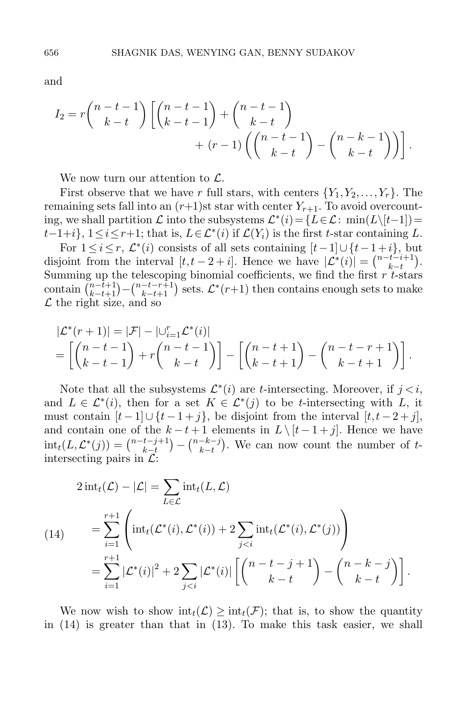and

$$
I_2 = r {n-t-1 \choose k-t} \left[ {n-t-1 \choose k-t-1} + {n-t-1 \choose k-t} + (r-1) \left( {n-t-1 \choose k-t} - {n-k-1 \choose k-t} \right) \right].
$$

We now turn our attention to  $\mathcal{L}$ .

First observe that we have r full stars, with centers  $\{Y_1, Y_2, \ldots, Y_r\}$ . The remaining sets fall into an  $(r+1)$ st star with center  $Y_{r+1}$ . To avoid overcounting, we shall partition  $\mathcal L$  into the subsystems  $\mathcal L^*(i) = \{L \in \mathcal L: \min(L \setminus [t-1]) =$  $t-1+i$ ,  $1 \le i \le r+1$ ; that is,  $L \in \mathcal{L}^*(i)$  if  $\mathcal{L}(Y_i)$  is the first t-star containing L.

For  $1 \leq i \leq r$ ,  $\mathcal{L}^*(i)$  consists of all sets containing  $[t-1] \cup \{t-1+i\}$ , but disjoint from the interval  $[t, t-2+i]$ . Hence we have  $|\mathcal{L}^*(i)| = \binom{n-t-i+1}{k-t}$ . Summing up the telescoping binomial coefficients, we find the first r t-stars contain  $\binom{n-t+1}{k-t+1} - \binom{n-t-r+1}{k-t+1}$  sets.  $\mathcal{L}^*(r+1)$  then contains enough sets to make  $\mathcal L$  the right size, and so

$$
|\mathcal{L}^*(r+1)| = |\mathcal{F}| - |\bigcup_{i=1}^r \mathcal{L}^*(i)|
$$
  
=  $\left[ \binom{n-t-1}{k-t-1} + r \binom{n-t-1}{k-t} \right] - \left[ \binom{n-t+1}{k-t+1} - \binom{n-t-r+1}{k-t+1} \right].$ 

Note that all the subsystems  $\mathcal{L}^*(i)$  are *t*-intersecting. Moreover, if  $j < i$ , and  $L \in \mathcal{L}^*(i)$ , then for a set  $K \in \mathcal{L}^*(j)$  to be t-intersecting with L, it must contain  $[t-1] \cup \{t-1+j\}$ , be disjoint from the interval  $[t, t-2+j]$ , and contain one of the  $k - t + 1$  elements in  $L \setminus [t - 1 + j]$ . Hence we have  $\text{int}_t(L, \mathcal{L}^*(j)) = \binom{n-t-j+1}{k-t}$  $\binom{t-j+1}{k-t} - \binom{n-k-j}{k-t}$  $\binom{-k-j}{k-t}$ . We can now count the number of tintersecting pairs in  $\mathcal{L}$ :

<span id="page-33-0"></span>
$$
2 \operatorname{int}_{t}(\mathcal{L}) - |\mathcal{L}| = \sum_{L \in \mathcal{L}} \operatorname{int}_{t}(L, \mathcal{L})
$$
  
(14)  

$$
= \sum_{i=1}^{r+1} \left( \operatorname{int}_{t}(\mathcal{L}^{*}(i), \mathcal{L}^{*}(i)) + 2 \sum_{j  

$$
= \sum_{i=1}^{r+1} |\mathcal{L}^{*}(i)|^{2} + 2 \sum_{j
$$
$$

We now wish to show  $\text{int}_t(\mathcal{L}) \geq \text{int}_t(\mathcal{F})$ ; that is, to show the quantity in [\(14\)](#page-33-0) is greater than that in [\(13\)](#page-32-0). To make this task easier, we shall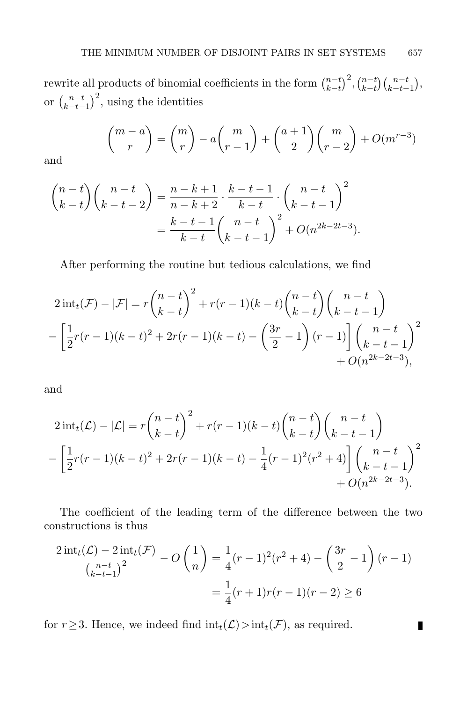rewrite all products of binomial coefficients in the form  $\binom{n-t}{k-t}$  $\binom{n-t}{k-t}^2$ ,  $\binom{n-t}{k-t}$  $\binom{n-t}{k-t-1},$ or  $\binom{n-t}{k-t-1}$  $\binom{n-t}{k-t-1}^2$ , using the identities

$$
\binom{m-a}{r} = \binom{m}{r} - a \binom{m}{r-1} + \binom{a+1}{2} \binom{m}{r-2} + O(m^{r-3})
$$

and

$$
\binom{n-t}{k-t}\binom{n-t}{k-t-2} = \frac{n-k+1}{n-k+2} \cdot \frac{k-t-1}{k-t} \cdot \binom{n-t}{k-t-1}^2
$$

$$
= \frac{k-t-1}{k-t}\binom{n-t}{k-t-1}^2 + O(n^{2k-2t-3}).
$$

After performing the routine but tedious calculations, we find

$$
2 \operatorname{int}_t(\mathcal{F}) - |\mathcal{F}| = r \binom{n-t}{k-t}^2 + r(r-1)(k-t) \binom{n-t}{k-t} \binom{n-t}{k-t-1}
$$

$$
- \left[ \frac{1}{2}r(r-1)(k-t)^2 + 2r(r-1)(k-t) - \left( \frac{3r}{2} - 1 \right)(r-1) \right] \binom{n-t}{k-t-1}^2
$$

$$
+ O(n^{2k-2t-3}),
$$

and

$$
2 \operatorname{int}_t(\mathcal{L}) - |\mathcal{L}| = r \binom{n-t}{k-t}^2 + r(r-1)(k-t) \binom{n-t}{k-t} \binom{n-t}{k-t-1}
$$

$$
- \left[ \frac{1}{2}r(r-1)(k-t)^2 + 2r(r-1)(k-t) - \frac{1}{4}(r-1)^2(r^2+4) \right] \binom{n-t}{k-t-1}^2
$$

$$
+ O(n^{2k-2t-3}).
$$

The coefficient of the leading term of the difference between the two constructions is thus

$$
\frac{2 \operatorname{int}_t(\mathcal{L}) - 2 \operatorname{int}_t(\mathcal{F})}{\left(\frac{n-t}{k-t-1}\right)^2} - O\left(\frac{1}{n}\right) = \frac{1}{4}(r-1)^2(r^2+4) - \left(\frac{3r}{2} - 1\right)(r-1)
$$

$$
= \frac{1}{4}(r+1)r(r-1)(r-2) \ge 6
$$

for  $r \geq 3$ . Hence, we indeed find  $\text{int}_t(\mathcal{L}) > \text{int}_t(\mathcal{F})$ , as required.

 $\blacksquare$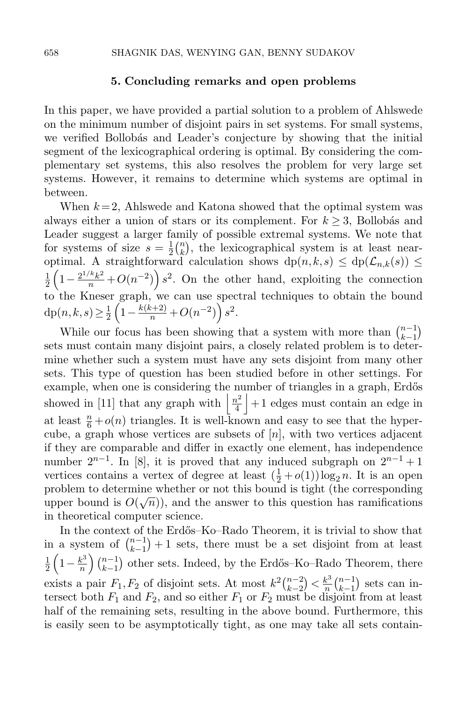#### 5. Concluding remarks and open problems

In this paper, we have provided a partial solution to a problem of Ahlswede on the minimum number of disjoint pairs in set systems. For small systems, we verified Bollobás and Leader's conjecture by showing that the initial segment of the lexicographical ordering is optimal. By considering the complementary set systems, this also resolves the problem for very large set systems. However, it remains to determine which systems are optimal in between.

When  $k = 2$ , Ahlswede and Katona showed that the optimal system was always either a union of stars or its complement. For  $k \geq 3$ , Bollobás and Leader suggest a larger family of possible extremal systems. We note that for systems of size  $s=\frac{1}{2}$  $\frac{1}{2} \binom{n}{k}$  $\binom{n}{k}$ , the lexicographical system is at least nearoptimal. A straightforward calculation shows  $dp(n, k, s) \le dp(\mathcal{L}_{n,k}(s)) \le$ 1  $\frac{1}{2}\left(1-\frac{2^{1/k}k^2}{n}+O(n^{-2})\right)s^2$ . On the other hand, exploiting the connection to the Kneser graph, we can use spectral techniques to obtain the bound  $dp(n,k,s) \geq \frac{1}{2}$  $\frac{1}{2}\left(1-\frac{k(k+2)}{n}+O(n^{-2})\right)s^2.$ 

While our focus has been showing that a system with more than  $\binom{n-1}{k-1}$  $\binom{n-1}{k-1}$ sets must contain many disjoint pairs, a closely related problem is to determine whether such a system must have any sets disjoint from many other sets. This type of question has been studied before in other settings. For example, when one is considering the number of triangles in a graph, Erdős showed in [\[11\]](#page-37-7) that any graph with  $\frac{n^2}{4}$  $\frac{h^2}{4}$  + 1 edges must contain an edge in at least  $\frac{n}{6} + o(n)$  triangles. It is well-known and easy to see that the hypercube, a graph whose vertices are subsets of  $[n]$ , with two vertices adjacent if they are comparable and differ in exactly one element, has independence number  $2^{n-1}$ . In [\[8\]](#page-36-7), it is proved that any induced subgraph on  $2^{n-1}+1$ vertices contains a vertex of degree at least  $(\frac{1}{2} + o(1)) \log_2 n$ . It is an open problem to determine whether or not this bound is tight (the corresponding upper bound is  $O(\sqrt{n})$ , and the answer to this question has ramifications in theoretical computer science.

In the context of the Erdős–Ko–Rado Theorem, it is trivial to show that in a system of  $\binom{n-1}{k-1}$  $\binom{n-1}{k-1}+1$  sets, there must be a set disjoint from at least 1  $rac{1}{2}\left(1-\frac{k^3}{n}\right)$  $\left(\frac{k^3}{n}\right)\binom{n-1}{k-1}$  $_{k-1}^{n-1}$ ) other sets. Indeed, by the Erdős–Ko–Rado Theorem, there exists a pair  $F_1, F_2$  of disjoint sets. At most  $k^2 {n-2 \choose k-2}$  $\binom{n-2}{k-2} < \frac{k^3}{n}$  $\frac{k^3}{n}$  $\binom{n-1}{k-1}$  $\binom{n-1}{k-1}$  sets can intersect both  $F_1$  and  $F_2$ , and so either  $F_1$  or  $F_2$  must be disjoint from at least half of the remaining sets, resulting in the above bound. Furthermore, this is easily seen to be asymptotically tight, as one may take all sets contain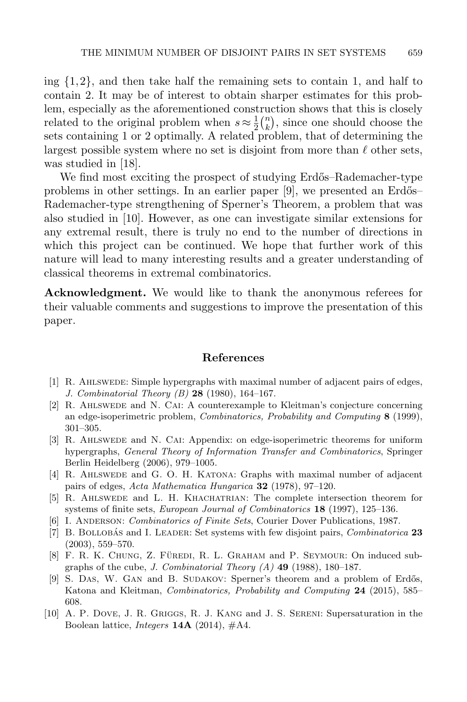ing  $\{1,2\}$ , and then take half the remaining sets to contain 1, and half to contain 2. It may be of interest to obtain sharper estimates for this problem, especially as the aforementioned construction shows that this is closely related to the original problem when  $s \approx \frac{1}{2}$  $rac{1}{2}$  $\binom{n}{k}$  $\binom{n}{k}$ , since one should choose the sets containing 1 or 2 optimally. A related problem, that of determining the largest possible system where no set is disjoint from more than  $\ell$  other sets, was studied in [\[18\]](#page-37-13).

We find most exciting the prospect of studying Erdős–Rademacher-type problems in other settings. In an earlier paper  $[9]$ , we presented an Erdős– Rademacher-type strengthening of Sperner's Theorem, a problem that was also studied in [\[10\]](#page-36-9). However, as one can investigate similar extensions for any extremal result, there is truly no end to the number of directions in which this project can be continued. We hope that further work of this nature will lead to many interesting results and a greater understanding of classical theorems in extremal combinatorics.

Acknowledgment. We would like to thank the anonymous referees for their valuable comments and suggestions to improve the presentation of this paper.

#### References

- <span id="page-36-2"></span>[1] R. Ahlswede: Simple hypergraphs with maximal number of adjacent pairs of edges, J. Combinatorial Theory (B) 28 (1980), 164–167.
- <span id="page-36-5"></span>[2] R. Ahlswede and N. Cai: A counterexample to Kleitman's conjecture concerning an edge-isoperimetric problem, Combinatorics, Probability and Computing 8 (1999), 301–305.
- <span id="page-36-6"></span>[3] R. AHLSWEDE and N. CAI: Appendix: on edge-isoperimetric theorems for uniform hypergraphs, General Theory of Information Transfer and Combinatorics, Springer Berlin Heidelberg (2006), 979–1005.
- <span id="page-36-4"></span>[4] R. Ahlswede and G. O. H. Katona: Graphs with maximal number of adjacent pairs of edges, Acta Mathematica Hungarica  $32$  (1978), 97–120.
- <span id="page-36-1"></span>[5] R. Ahlswede and L. H. Khachatrian: The complete intersection theorem for systems of finite sets, European Journal of Combinatorics 18 (1997), 125–136.
- <span id="page-36-0"></span>[6] I. Anderson: Combinatorics of Finite Sets, Courier Dover Publications, 1987.
- <span id="page-36-3"></span>[7] B. BOLLOBAS and I. LEADER: Set systems with few disjoint pairs, *Combinatorica* 23 (2003), 559–570.
- <span id="page-36-7"></span>[8] F. R. K. CHUNG, Z. FÜREDI, R. L. GRAHAM and P. SEYMOUR: On induced subgraphs of the cube, J. Combinatorial Theory  $(A)$  49 (1988), 180–187.
- <span id="page-36-8"></span>[9] S. DAS, W. GAN and B. SUDAKOV: Sperner's theorem and a problem of Erdős, Katona and Kleitman, Combinatorics, Probability and Computing 24 (2015), 585– 608.
- <span id="page-36-9"></span>[10] A. P. Dove, J. R. Griggs, R. J. Kang and J. S. Sereni: Supersaturation in the Boolean lattice, *Integers* **14A** (2014),  $\#$ A4.